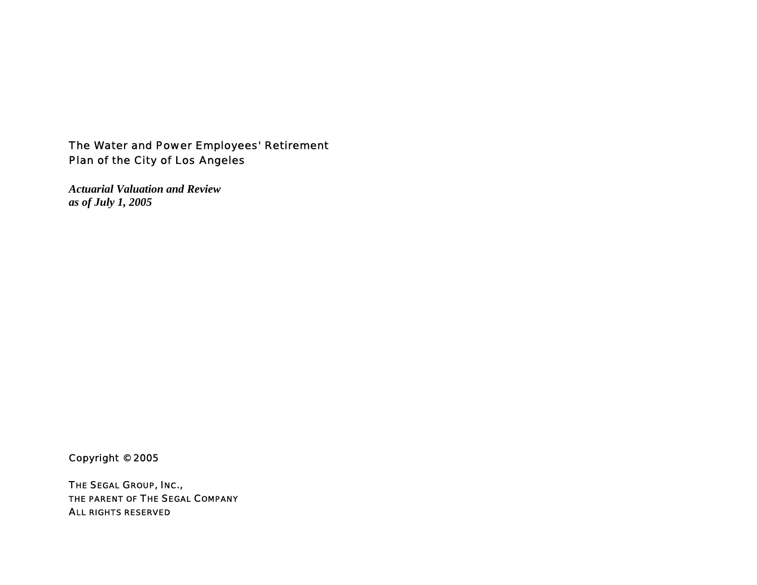## The Water and Power Employees' Retirement Plan of the City of Los Angeles

*Actuarial Valuation and Review as of July 1, 2005* 

Copyright © 2005

THE SEGAL GROUP, INC., THE PARENT OF THE SEGAL COMPANY ALL RIGHTS RESERVED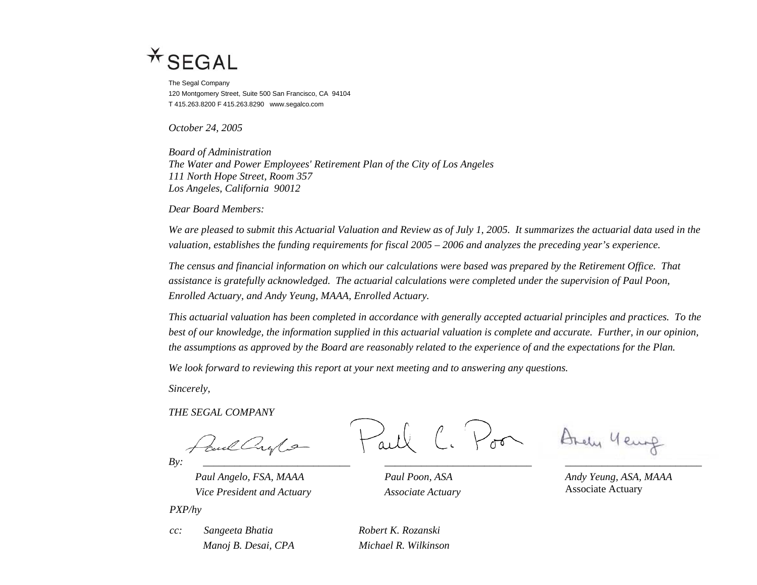

The Segal Company 120 Montgomery Street, Suite 500 San Francisco, CA 94104 T 415.263.8200 F 415.263.8290 www.segalco.com

*October 24, 2005* 

*Board of Administration The Water and Power Employees' Retirement Plan of the City of Los Angeles 111 North Hope Street, Room 357 Los Angeles, California 90012* 

*Dear Board Members:* 

*We are pleased to submit this Actuarial Valuation and Review as of July 1, 2005. It summarizes the actuarial data used in the valuation, establishes the funding requirements for fiscal 2005 – 2006 and analyzes the preceding year's experience.* 

*The census and financial information on which our calculations were based was prepared by the Retirement Office. That assistance is gratefully acknowledged. The actuarial calculations were completed under the supervision of Paul Poon, Enrolled Actuary, and Andy Yeung, MAAA, Enrolled Actuary.* 

*This actuarial valuation has been completed in accordance with generally accepted actuarial principles and practices. To the best of our knowledge, the information supplied in this actuarial valuation is complete and accurate. Further, in our opinion, the assumptions as approved by the Board are reasonably related to the experience of and the expectations for the Plan.* 

*We look forward to reviewing this report at your next meeting and to answering any questions.* 

*Sincerely,* 

*THE SEGAL COMPANY* 

*By: \_\_\_\_\_\_\_\_\_\_\_\_\_\_\_\_\_\_\_\_\_\_\_\_\_\_\_\_ \_\_\_\_\_\_\_\_\_\_\_\_\_\_\_\_\_\_\_\_\_\_\_\_\_\_\_\_ \_\_\_\_\_\_\_\_\_\_\_\_\_\_\_\_\_\_\_\_\_\_\_\_\_\_* 

*Paul Angelo, FSA, MAAA Paul Poon, ASA Andy Yeung, ASA, MAAA* 

Vice President and Actuary **Associate Actuary** Associate Actuary **Associate Actuary** 

 $V_{\sigma\sigma}$ 

Brely Year

*PXP/hy* 

*cc: Sangeeta Bhatia Robert K. Rozanski* 

*Manoj B. Desai, CPA Michael R. Wilkinson*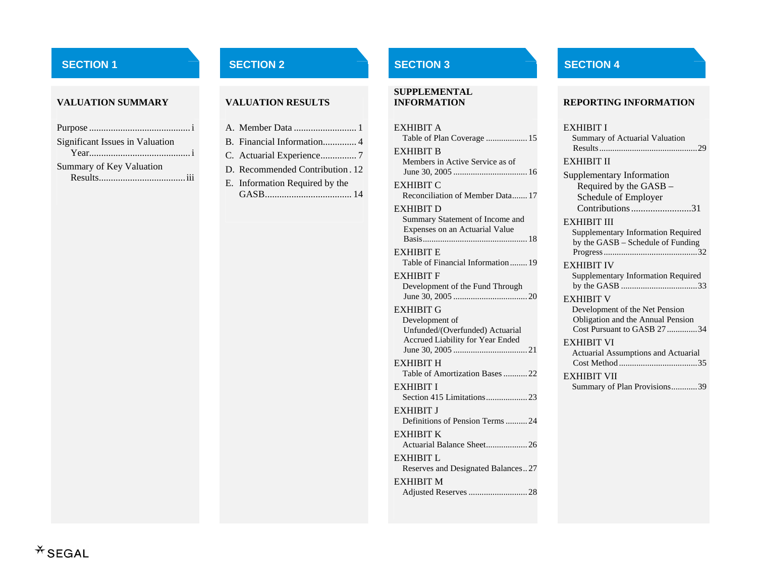### **VALUATION SUMMARY**

| <b>Significant Issues in Valuation</b> |
|----------------------------------------|
|                                        |
| Summary of Key Valuation               |
|                                        |

#### **VALUATION RESULTS**

| B. Financial Information 4      |
|---------------------------------|
| C. Actuarial Experience7        |
| D. Recommended Contribution. 12 |
| E. Information Required by the  |
|                                 |

# **SUPPLEMENTAL**

| <b>EXHIBIT A</b><br>Table of Plan Coverage  15                                        |
|---------------------------------------------------------------------------------------|
| <b>EXHIBIT B</b><br>Members in Active Service as of                                   |
| <b>EXHIBIT C</b>                                                                      |
| Reconciliation of Member Data 17                                                      |
| <b>EXHIBIT D</b><br>Summary Statement of Income and<br>Expenses on an Actuarial Value |
| <b>EXHIBIT E</b><br>Table of Financial Information 19                                 |
| <b>EXHIBIT F</b>                                                                      |
| Development of the Fund Through                                                       |
| <b>EXHIBIT G</b>                                                                      |
| Development of<br>Unfunded/(Overfunded) Actuarial<br>Accrued Liability for Year Ended |
| <b>EXHIBIT H</b><br>Table of Amortization Bases  22                                   |
| EXHIBIT I<br>Section 415 Limitations 23                                               |
| <b>EXHIBIT J</b><br>Definitions of Pension Terms 24                                   |
| <b>EXHIBIT K</b>                                                                      |
| EXHIBIT L<br>Reserves and Designated Balances27                                       |
| <b>EXHIBIT M</b><br>Adjusted Reserves  28                                             |

## **SECTION 1** SECTION 2 SECTION 2 SECTION 3 SECTION 4

#### **INFORMATION REPORTING INFORMATION**

#### EXHIBIT I

| Summary of Actuarial Valuation |  |
|--------------------------------|--|
|                                |  |

#### EXHIBIT II

| Supplementary Information |
|---------------------------|
| Required by the GASB -    |
| Schedule of Employer      |
| Contributions31           |

#### EXHIBIT III

| Supplementary Information Required |
|------------------------------------|
| by the GASB – Schedule of Funding  |
|                                    |

#### EXHIBIT IV

 Supplementary Information Required by the GASB ...................................33

#### EXHIBIT V

 Development of the Net Pension Obligation and the Annual Pension Cost Pursuant to GASB 27 ..............34

#### EXHIBIT VI

Actuarial Assumptions and Actuarial Cost Method ....................................35

#### EXHIBIT VII

Summary of Plan Provisions............39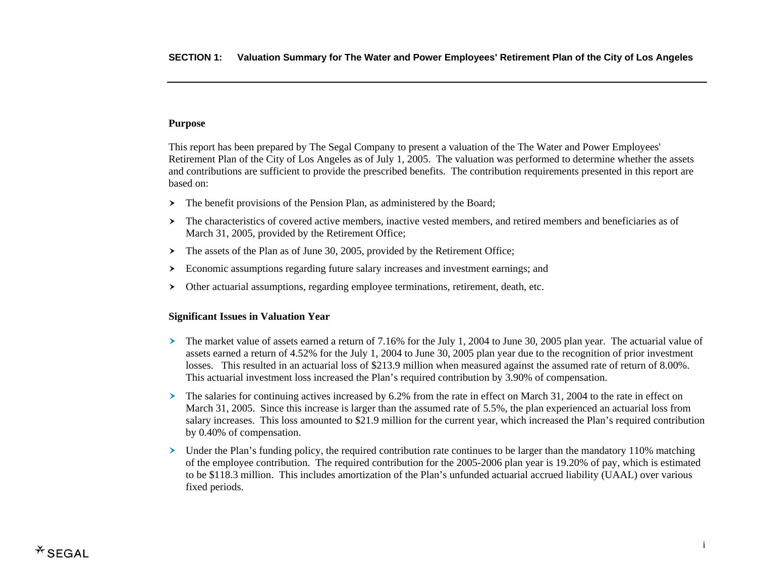## **Purpose**

This report has been prepared by The Segal Company to present a valuation of the The Water and Power Employees' Retirement Plan of the City of Los Angeles as of July 1, 2005. The valuation was performed to determine whether the assets and contributions are sufficient to provide the prescribed benefits. The contribution requirements presented in this report are based on:

- $\triangleright$  The benefit provisions of the Pension Plan, as administered by the Board;
- $\geq$  The characteristics of covered active members, inactive vested members, and retired members and beneficiaries as of March 31, 2005, provided by the Retirement Office;
- $\blacktriangleright$ The assets of the Plan as of June 30, 2005, provided by the Retirement Office;
- $\geq$  Economic assumptions regarding future salary increases and investment earnings; and
- $\left. \right.$ Other actuarial assumptions, regarding employee terminations, retirement, death, etc.

### **Significant Issues in Valuation Year**

- $\geq$  The market value of assets earned a return of 7.16% for the July 1, 2004 to June 30, 2005 plan year. The actuarial value of assets earned a return of 4.52% for the July 1, 2004 to June 30, 2005 plan year due to the recognition of prior investment losses. This resulted in an actuarial loss of \$213.9 million when measured against the assumed rate of return of 8.00%. This actuarial investment loss increased the Plan's required contribution by 3.90% of compensation.
- $\blacktriangleright$  The salaries for continuing actives increased by 6.2% from the rate in effect on March 31, 2004 to the rate in effect on March 31, 2005. Since this increase is larger than the assumed rate of 5.5%, the plan experienced an actuarial loss from salary increases. This loss amounted to \$21.9 million for the current year, which increased the Plan's required contribution by 0.40% of compensation.
- $\blacktriangleright$  Under the Plan's funding policy, the required contribution rate continues to be larger than the mandatory 110% matching of the employee contribution. The required contribution for the 2005-2006 plan year is 19.20% of pay, which is estimated to be \$118.3 million. This includes amortization of the Plan's unfunded actuarial accrued liability (UAAL) over various fixed periods.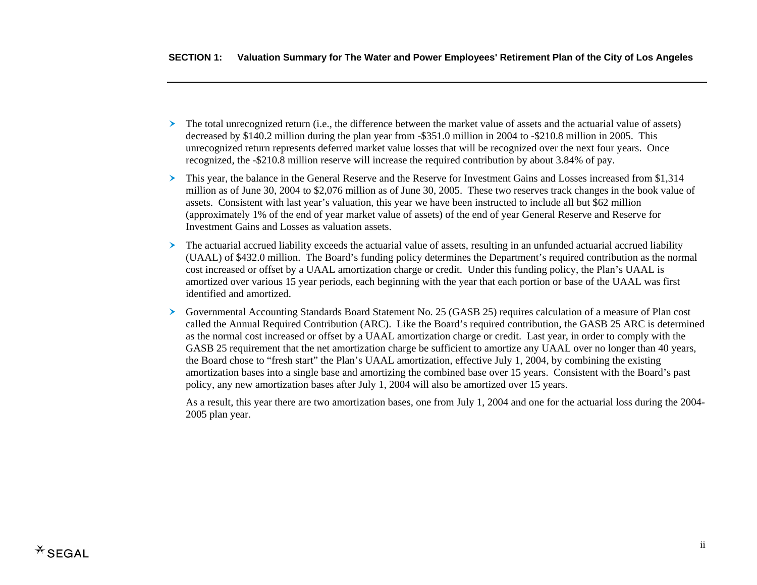- $\triangleright$  The total unrecognized return (i.e., the difference between the market value of assets and the actuarial value of assets) decreased by \$140.2 million during the plan year from -\$351.0 million in 2004 to -\$210.8 million in 2005. This unrecognized return represents deferred market value losses that will be recognized over the next four years. Once recognized, the -\$210.8 million reserve will increase the required contribution by about 3.84% of pay.
- $\blacktriangleright$  This year, the balance in the General Reserve and the Reserve for Investment Gains and Losses increased from \$1,314 million as of June 30, 2004 to \$2,076 million as of June 30, 2005. These two reserves track changes in the book value of assets. Consistent with last year's valuation, this year we have been instructed to include all but \$62 million (approximately 1% of the end of year market value of assets) of the end of year General Reserve and Reserve for Investment Gains and Losses as valuation assets.
- $\triangleright$  The actuarial accrued liability exceeds the actuarial value of assets, resulting in an unfunded actuarial accrued liability (UAAL) of \$432.0 million. The Board's funding policy determines the Department's required contribution as the normal cost increased or offset by a UAAL amortization charge or credit. Under this funding policy, the Plan's UAAL is amortized over various 15 year periods, each beginning with the year that each portion or base of the UAAL was first identified and amortized.
- á Governmental Accounting Standards Board Statement No. 25 (GASB 25) requires calculation of a measure of Plan cost called the Annual Required Contribution (ARC). Like the Board's required contribution, the GASB 25 ARC is determined as the normal cost increased or offset by a UAAL amortization charge or credit. Last year, in order to comply with the GASB 25 requirement that the net amortization charge be sufficient to amortize any UAAL over no longer than 40 years, the Board chose to "fresh start" the Plan's UAAL amortization, effective July 1, 2004, by combining the existing amortization bases into a single base and amortizing the combined base over 15 years. Consistent with the Board's past policy, any new amortization bases after July 1, 2004 will also be amortized over 15 years.

As a result, this year there are two amortization bases, one from July 1, 2004 and one for the actuarial loss during the 2004- 2005 plan year.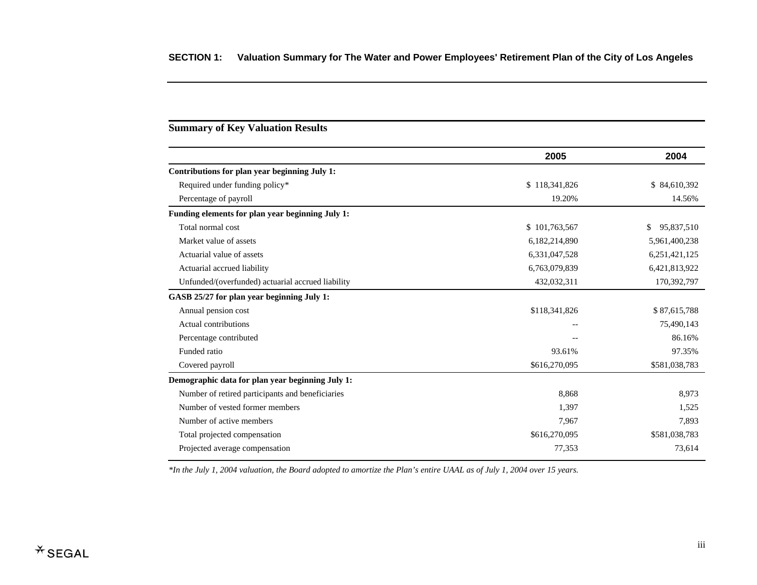## **Summary of Key Valuation Results**

|                                                   | 2005          | 2004             |
|---------------------------------------------------|---------------|------------------|
| Contributions for plan year beginning July 1:     |               |                  |
| Required under funding policy*                    | \$118,341,826 | \$84,610,392     |
| Percentage of payroll                             | 19.20%        | 14.56%           |
| Funding elements for plan year beginning July 1:  |               |                  |
| Total normal cost                                 | \$101,763,567 | \$<br>95,837,510 |
| Market value of assets                            | 6,182,214,890 | 5,961,400,238    |
| Actuarial value of assets                         | 6,331,047,528 | 6,251,421,125    |
| Actuarial accrued liability                       | 6,763,079,839 | 6,421,813,922    |
| Unfunded/(overfunded) actuarial accrued liability | 432,032,311   | 170,392,797      |
| GASB 25/27 for plan year beginning July 1:        |               |                  |
| Annual pension cost                               | \$118,341,826 | \$87,615,788     |
| Actual contributions                              |               | 75,490,143       |
| Percentage contributed                            |               | 86.16%           |
| Funded ratio                                      | 93.61%        | 97.35%           |
| Covered payroll                                   | \$616,270,095 | \$581,038,783    |
| Demographic data for plan year beginning July 1:  |               |                  |
| Number of retired participants and beneficiaries  | 8,868         | 8,973            |
| Number of vested former members                   | 1,397         | 1,525            |
| Number of active members                          | 7,967         | 7,893            |
| Total projected compensation                      | \$616,270,095 | \$581,038,783    |
| Projected average compensation                    | 77,353        | 73,614           |

*\*In the July 1, 2004 valuation, the Board adopted to amortize the Plan's entire UAAL as of July 1, 2004 over 15 years.*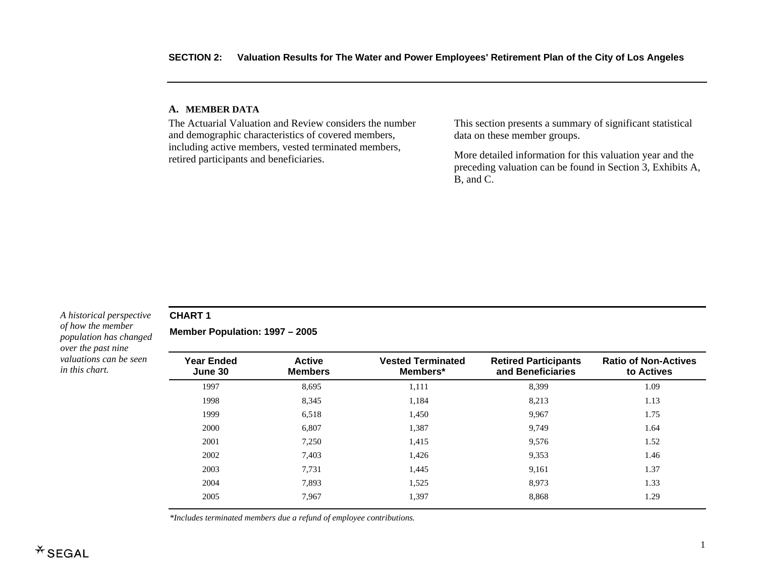#### **A. MEMBE R DATA**

The Actuarial Valuation and Review considers the number and demographic characteristics of covered members, including active members, vested terminated members, retired participants and beneficiaries.

This section presents a summary of significant statistical data on these member groups.

More detailed information for this valuation year and the preceding valuation can be found in Section 3, Exhibits A, B, and C.

#### *A historical perspective of how the member population has changed over the past nine valuations can be seen in this chart.*

### **CHART 1**

**Member Population: 1997 – 2005** 

| <b>Year Ended</b><br>June 30 | <b>Active</b><br><b>Members</b> | <b>Vested Terminated</b><br>Members* | <b>Retired Participants</b><br>and Beneficiaries | <b>Ratio of Non-Actives</b><br>to Actives |
|------------------------------|---------------------------------|--------------------------------------|--------------------------------------------------|-------------------------------------------|
| 1997                         | 8.695                           | 1,111                                | 8,399                                            | 1.09                                      |
| 1998                         | 8,345                           | 1,184                                | 8,213                                            | 1.13                                      |
| 1999                         | 6,518                           | 1,450                                | 9,967                                            | 1.75                                      |
| 2000                         | 6.807                           | 1,387                                | 9.749                                            | 1.64                                      |
| 2001                         | 7,250                           | 1,415                                | 9,576                                            | 1.52                                      |
| 2002                         | 7.403                           | 1,426                                | 9.353                                            | 1.46                                      |
| 2003                         | 7.731                           | 1,445                                | 9.161                                            | 1.37                                      |
| 2004                         | 7.893                           | 1,525                                | 8.973                                            | 1.33                                      |
| 2005                         | 7.967                           | 1,397                                | 8,868                                            | 1.29                                      |

*\*Includes terminated members due a refund of employee contributions.*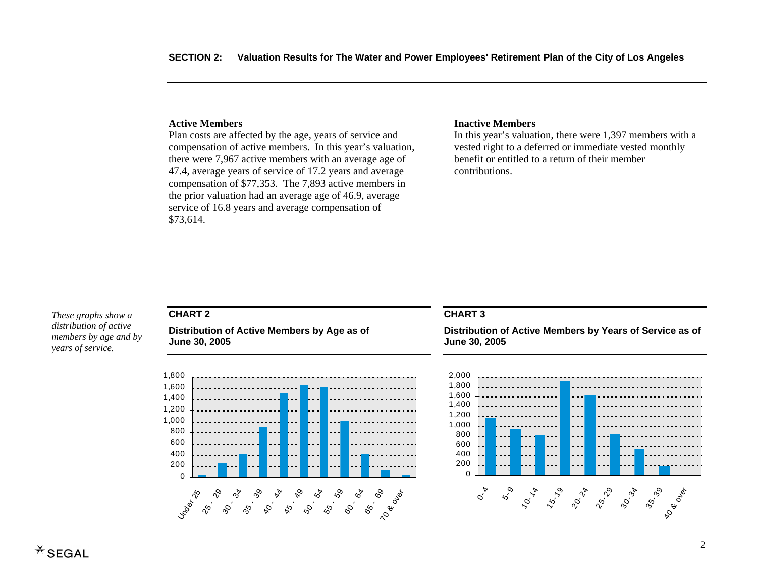#### **Active Members**

Plan costs are affected by the age, years of service and compensation of active members. In this year's valuation, there were 7,967 active members with an average age of 47.4, average years of service of 17.2 years and average compensation of \$77,353. The 7,893 active members in the prior valuation had an average age of 46.9, average service of 16.8 years and average compensation of \$73,614.

#### **Inactive Members**

In this year's valuation, there were 1,397 members with a vested right to a deferred or immediate vested monthly benefit or entitled to a return of their member contributions.

*These graphs show a distribution of active members by age and by years of service.* 

### **CHART 2**

**Distribution of Active Members by Age as of June 30, 2005** 



#### **CHART 3**

**Distribution of Active Members by Years of Service as of June 30, 2005** 

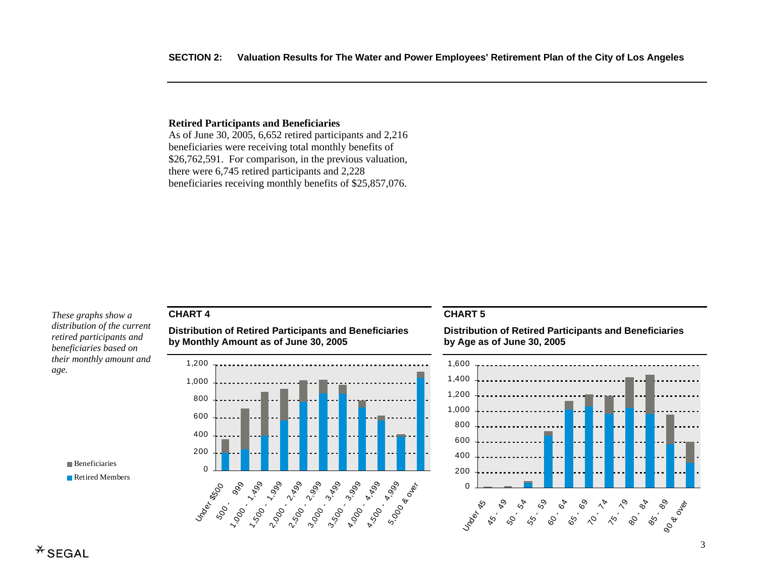### **Retired Participants and Beneficiaries**

As of June 30, 2005, 6,652 retired participants and 2,216 beneficiaries were receiving total monthly benefits of \$26,762,591. For comparison, in the previous valuation, there were 6,745 retired participants and 2,228 beneficiaries receiving monthly benefits of \$25,857,076.

*These graphs show a distribution of the current retired participants and beneficiaries based on their monthly amount and age.* 

## **CHART 4**

**Distribution of Retired Participants and Beneficiaries by Monthly Amount as of June 30, 2005** 



#### **CHART 5**

**Distribution of Retired Participants and Beneficiaries by Age as of June 30, 2005** 



**Beneficiaries** Retired Members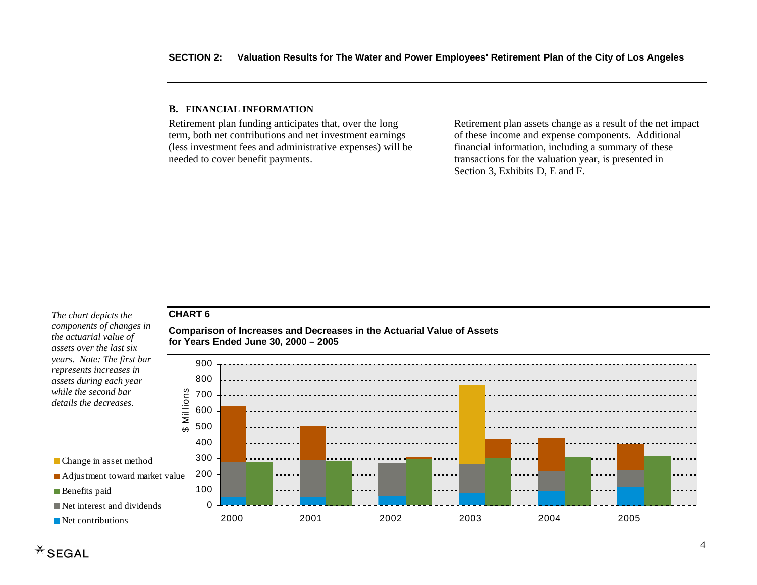#### **B. FINANCIAL INFORMATION**

Retirement plan funding anticipates that, over the long term, both net contributions and net investment earnings (less investment fees and administrative expenses) will be needed to cover benefit payments.

Retirement plan assets change as a result of the net impact of these income and expense components. Additional financial information, including a summary of these transactions for the valuation year, is presented in Section 3, Exhibits D, E and F.

### **CHART 6**

*The chart depicts the components of changes in the actuarial value of assets over the last six years. Note: The first bar represents increases in assets during each year while the second bar details the decreases.* 

**Comparison of Increases and Decreases in the Actuarial Value of Assets for Years Ended June 30, 2000 – 2005** 



**Benefits** paid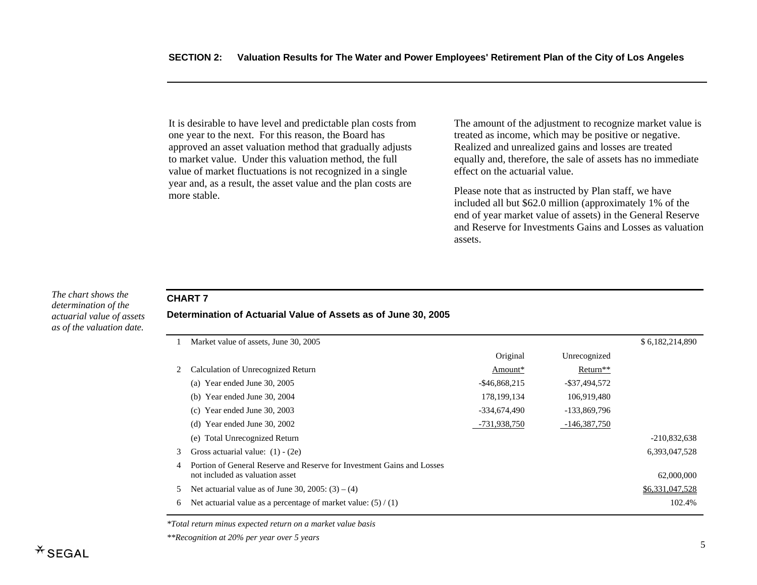It is desirable to have level and predictable plan costs from one year to the next. For this reason, the Board has approved an asset valuation method that gradually adjusts to market value. Under this valuation method, the full value of market fluctuations is not recognized in a single year and, as a result, the asset value and the plan costs are more stable.

The amount of the adjustment to recognize market value is treated as income, which may be positive or negative. Realized and unrealized gains and losses are treated equally and, therefore, the sale of assets has no immediate effect on the actuarial value.

Please note that as instructed by Plan staff, we have included all but \$62.0 million (approximately 1% of the end of year market value of assets) in the General Reserve and Reserve for Investments Gains and Losses as valuation assets.

| The chart shows the       |
|---------------------------|
| determination of the      |
| actuarial value of assets |
| as of the valuation date. |

## **CHART 7**

**Determination of Actuarial Value of Assets as of June 30, 2005** 

|   | Market value of assets, June 30, 2005                                                                     |                  |                      | \$6,182,214,890 |
|---|-----------------------------------------------------------------------------------------------------------|------------------|----------------------|-----------------|
|   |                                                                                                           | Original         | Unrecognized         |                 |
|   | Calculation of Unrecognized Return                                                                        | Amount*          | Return <sup>**</sup> |                 |
|   | (a) Year ended June $30, 2005$                                                                            | $-$ \$46,868,215 | $-$ \$37,494,572     |                 |
|   | Year ended June 30, 2004<br>(b)                                                                           | 178, 199, 134    | 106,919,480          |                 |
|   | (c) Year ended June 30, 2003                                                                              | -334.674.490     | -133,869,796         |                 |
|   | (d) Year ended June 30, $2002$                                                                            | -731,938,750     | -146,387,750         |                 |
|   | <b>Total Unrecognized Return</b><br>(e)                                                                   |                  |                      | $-210,832,638$  |
| 3 | Gross actuarial value: $(1) - (2e)$                                                                       |                  |                      | 6,393,047,528   |
| 4 | Portion of General Reserve and Reserve for Investment Gains and Losses<br>not included as valuation asset |                  |                      | 62,000,000      |
| 5 | Net actuarial value as of June 30, $2005$ : (3) – (4)                                                     |                  |                      | \$6,331,047,528 |
| 6 | Net actuarial value as a percentage of market value: $(5) / (1)$                                          |                  |                      | 102.4%          |

*\*Total return minus expected return on a market value basis* 

*\*\*Recognition at 20% per year over 5 years*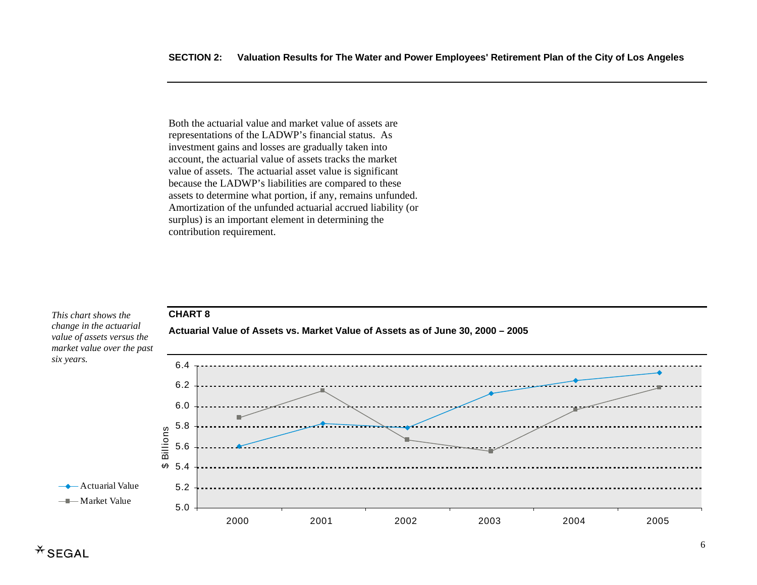Both the actuarial value and market value of assets are representations of the LADWP's financial status. As investment gains and losses are gradually taken into account, the actuarial value of assets tracks the market value of assets. The actuarial asset value is significant because the LADWP's liabilities are compared to these assets to determine what portion, if any, remains unfunded. Amortization of the unfunded actuarial accrued liability (or surplus) is an important element in determining the contribution requirement.

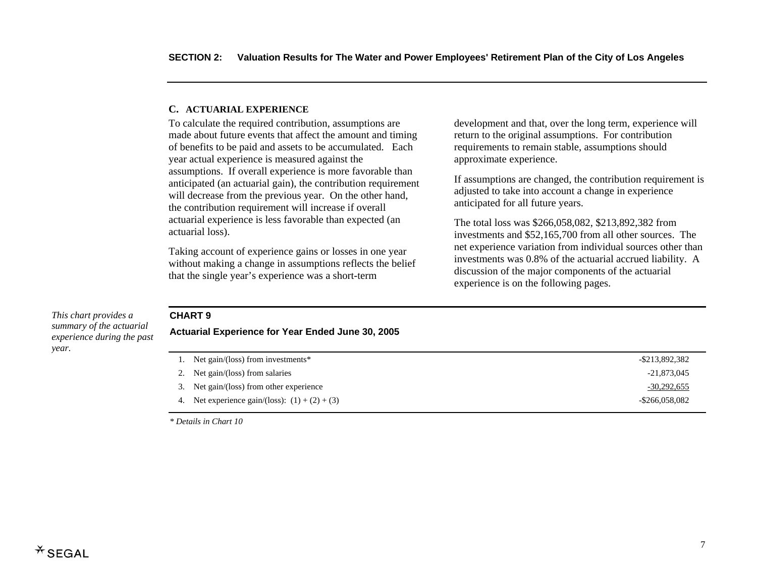#### **C. ACTUARIAL EXPERIENCE**

To calculate the required contribution, assumptions are made about future events that affect the amount and timing of benefits to be paid and assets to be accumulated. Each year actual experience is measured against the assumptions. If overall experience is more favorable than anticipated (an actuarial gain), the contribution requirement will decrease from the previous year. On the other hand, the contribution requirement will increase if overall actuarial experience is less favorable than expected (an actuarial loss).

Taking account of experience gains or losses in one year without making a change in assumptions reflects the belief that the single year's experience was a short-term

development and that, over the long term, experience will return to the original assumptions. For contribution requirements to remain stable, assumptions should approximate experience.

If assumptions are changed, the contribution requirement is adjusted to take into account a change in experience anticipated for all future years.

The total loss was \$266,058,082, \$213,892,382 from investments and \$52,165,700 from all other sources. The net experience variation from individual sources other than investments was 0.8% of the actuarial accrued liability. A discussion of the major components of the actuarial experience is on the following pages.

#### *This chart provides a summary of the actuarial experience during the past year.*

## **CHART 9**

**Actuarial Experience for Year Ended June 30, 2005** 

| Net gain/(loss) from investments*                | -\$213,892,382    |
|--------------------------------------------------|-------------------|
| 2. Net gain/(loss) from salaries                 | $-21,873,045$     |
| 3. Net gain/(loss) from other experience         | $-30,292,655$     |
| 4. Net experience gain/(loss): $(1) + (2) + (3)$ | $-$ \$266,058,082 |

*\* Details in Chart 10*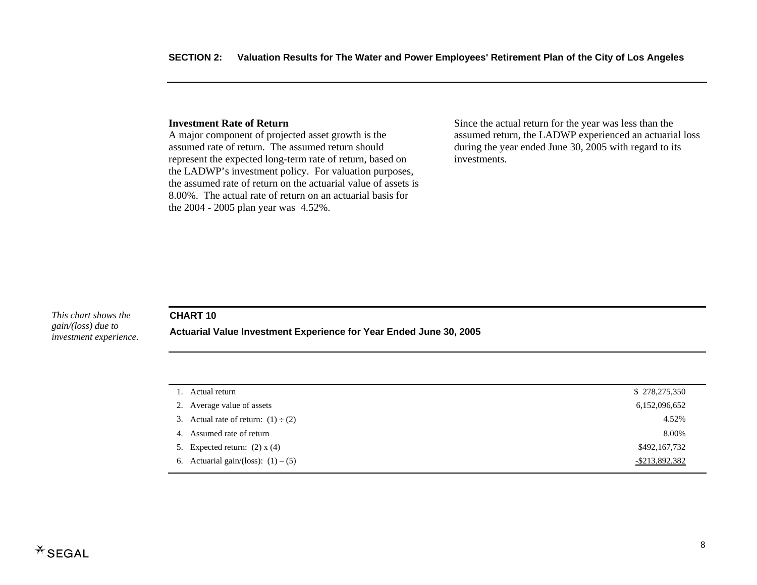#### **Investment Rate of Return**

A major component of projected asset growth is the assumed rate of return. The assumed return should represent the expected long-term rate of return, based on the LADWP's investment policy. For valuation purposes, the assumed rate of return on the actuarial value of assets is 8.00%. The actual rate of return on an actuarial basis for the 2004 - 2005 plan year was 4.52%.

Since the actual return for the year was less than the assumed return, the LADWP experienced an actuarial loss during the year ended June 30, 2005 with regard to its investments.

#### *This chart shows the gain/(loss) due to investment experience.*

#### **CHART 10**

**Actuarial Value Investment Experience for Year Ended June 30, 2005** 

| 1. Actual return                         | \$278,275,350     |
|------------------------------------------|-------------------|
| 2. Average value of assets               | 6,152,096,652     |
| 3. Actual rate of return: $(1) \div (2)$ | 4.52%             |
| 4. Assumed rate of return                | 8.00%             |
| 5. Expected return: $(2)$ x $(4)$        | \$492,167,732     |
| 6. Actuarial gain/(loss): $(1) - (5)$    | $-$ \$213,892,382 |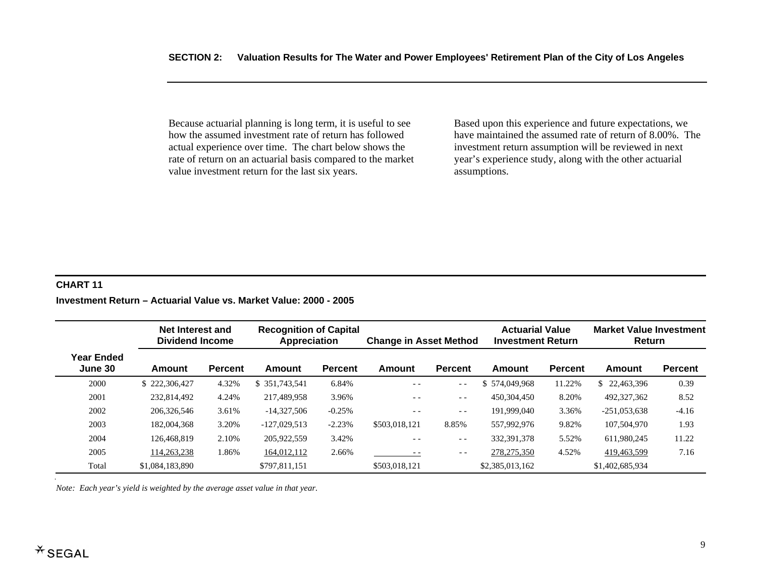Because actuarial planning is long term, it is useful to see how the assumed investment rate of return has followed actual experience over time. The chart below shows the rate of return on an actuarial basis compared to the market value investment return for the last six years.

Based upon this experience and future expectations, we have maintained the assumed rate of return of 8.00%. The investment return assumption will be reviewed in next year's experience study, along with the other actuarial assumptions.

#### **CHART 11**

### **Investment Return – Actuarial Value vs. Market Value: 2000 - 2005**

|                              | Net Interest and<br><b>Dividend Income</b> |                |                | <b>Recognition of Capital</b><br>Appreciation<br><b>Change in Asset Method</b> |               |                |                 | <b>Actuarial Value</b><br><b>Market Value Investment</b><br><b>Investment Return</b><br><b>Return</b> |                 |                |
|------------------------------|--------------------------------------------|----------------|----------------|--------------------------------------------------------------------------------|---------------|----------------|-----------------|-------------------------------------------------------------------------------------------------------|-----------------|----------------|
| <b>Year Ended</b><br>June 30 | <b>Amount</b>                              | <b>Percent</b> | Amount         | <b>Percent</b>                                                                 | Amount        | <b>Percent</b> | Amount          | <b>Percent</b>                                                                                        | Amount          | <b>Percent</b> |
| 2000                         | \$222,306,427                              | 4.32%          | \$ 351,743,541 | 6.84%                                                                          | $ -$          | $ -$           | \$574,049,968   | 11.22%                                                                                                | \$22.463.396    | 0.39           |
| 2001                         | 232,814,492                                | 4.24%          | 217,489,958    | 3.96%                                                                          | $- -$         | $ -$           | 450,304,450     | 8.20%                                                                                                 | 492,327,362     | 8.52           |
| 2002                         | 206,326,546                                | 3.61%          | $-14.327.506$  | $-0.25%$                                                                       | $ -$          | $- -$          | 191,999,040     | 3.36%                                                                                                 | $-251.053.638$  | $-4.16$        |
| 2003                         | 182,004,368                                | 3.20%          | $-127.029.513$ | $-2.23%$                                                                       | \$503,018,121 | 8.85%          | 557,992,976     | 9.82%                                                                                                 | 107,504,970     | 1.93           |
| 2004                         | 126,468,819                                | 2.10%          | 205,922,559    | 3.42%                                                                          | $- -$         | $- -$          | 332.391.378     | 5.52%                                                                                                 | 611.980.245     | 11.22          |
| 2005                         | 114,263,238                                | 1.86%          | 164,012,112    | 2.66%                                                                          | $ -$          | $ -$           | 278,275,350     | 4.52%                                                                                                 | 419,463,599     | 7.16           |
| Total                        | \$1,084,183,890                            |                | \$797.811.151  |                                                                                | \$503,018,121 |                | \$2,385,013,162 |                                                                                                       | \$1,402,685,934 |                |

*Note: Each year's yield is weighted by the average asset value in that year.*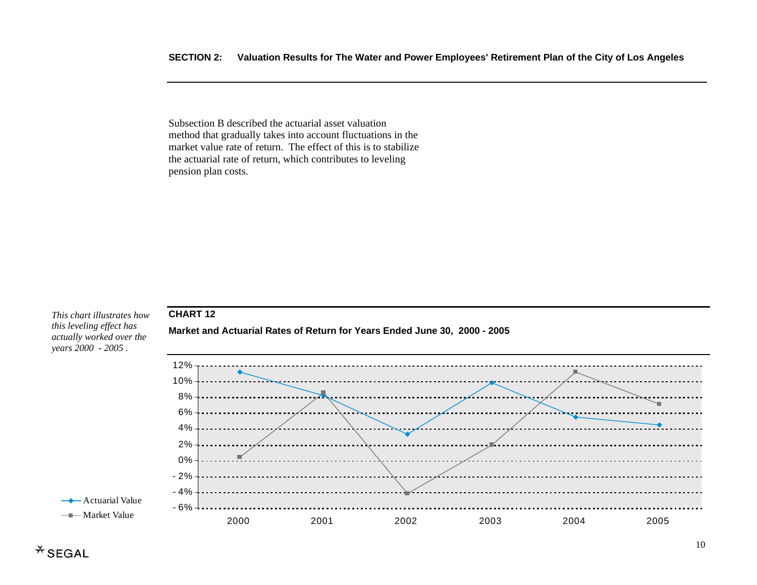Subsection B described the actuarial asset valuation method that gradually takes into account fluctuations in the market value rate of return. The effect of this is to stabilize the actuarial rate of return, which contributes to leveling pension plan costs.

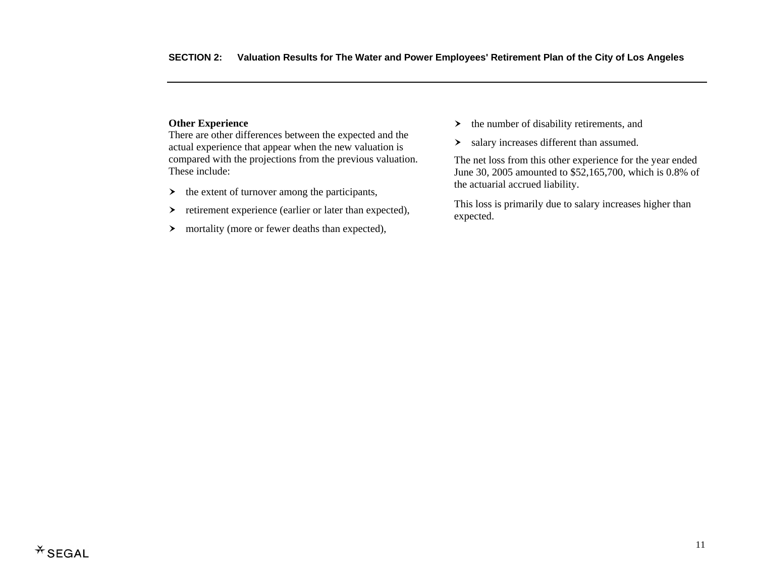## **Other Experience**

There are other differences between the expected and the actual experience that appear when the new valuation is compared with the projections from the previous valuation. These include:

- $\rightarrow$  the extent of turnover among the participants,
- $\left. \right.$ retirement experience (earlier or later than expected),
- $\triangleright$  mortality (more or fewer deaths than expected),
- $\rightarrow$  the number of disability retirements, and
- $\geq$  salary increases different than assumed.

The net loss from this other experience for the year ended June 30, 2005 amounted to \$52,165,700, which is 0.8% of the actuarial accrued liability.

This loss is primarily due to salary increases higher than expected.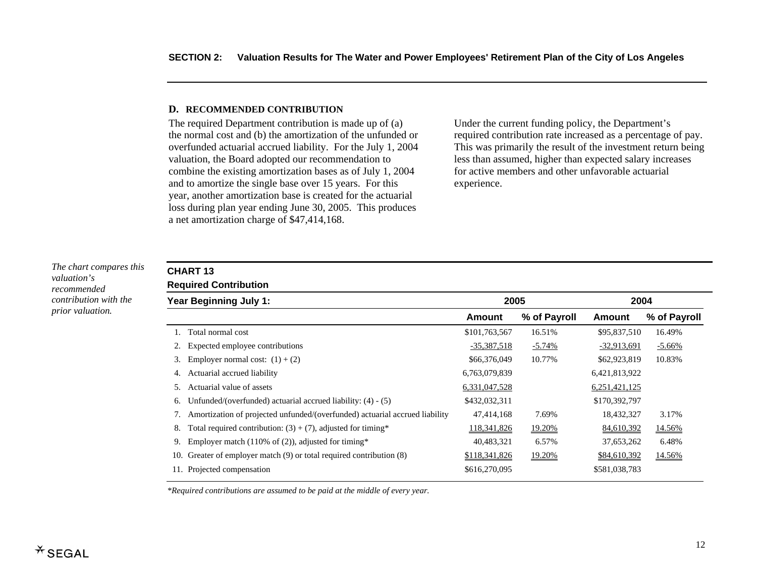#### **D. RECOMMENDED CONTRIBUTION**

The required Department contribution is made up of (a) the normal cost and (b) the amortization of the unfunded or overfunded actuarial accrued liability. For the July 1, 2004 valuation, the Board adopted our recommendation to combine the existing amortization bases as of July 1, 2004 and to amortize the single base over 15 years. For this year, another amortization base is created for the actuarial loss during plan year ending June 30, 2005. This produces a net amortization charge of \$47,414,168.

Under the current funding policy, the Department's required contribution rate increased as a percentage of pay. This was primarily the result of the investment return being less than assumed, higher than expected salary increases for active members and other unfavorable actuarial experience.

*The chart compares this valuation's recommended contribution with the prior valuation.* 

## **CHART 13**

**Required Contribution**

|                                                                             | Amount                                                                  | % of Payroll | Amount        | % of Payroll         |
|-----------------------------------------------------------------------------|-------------------------------------------------------------------------|--------------|---------------|----------------------|
| Total normal cost                                                           | \$101,763,567                                                           | 16.51%       |               | 16.49%               |
| Expected employee contributions                                             | $-35,387,518$                                                           | $-5.74%$     | $-32,913,691$ | $-5.66\%$            |
| Employer normal cost: $(1) + (2)$                                           | \$66,376,049                                                            | 10.77%       | \$62,923,819  | 10.83%               |
| Actuarial accrued liability                                                 | 6,763,079,839                                                           |              | 6,421,813,922 |                      |
| Actuarial value of assets                                                   | 6,331,047,528                                                           |              | 6,251,421,125 |                      |
| Unfunded/(overfunded) actuarial accrued liability: $(4) - (5)$              | \$432,032,311                                                           |              | \$170,392,797 |                      |
| Amortization of projected unfunded/(overfunded) actuarial accrued liability | 47,414,168                                                              | 7.69%        | 18,432,327    | 3.17%                |
| Total required contribution: $(3) + (7)$ , adjusted for timing*             | 118,341,826                                                             | 19.20%       | 84,610,392    | 14.56%               |
| Employer match (110% of $(2)$ ), adjusted for timing*                       | 40,483,321                                                              | 6.57%        | 37,653,262    | 6.48%                |
| Greater of employer match (9) or total required contribution (8)            | \$118,341,826                                                           | 19.20%       | \$84,610,392  | 14.56%               |
|                                                                             | \$616,270,095                                                           |              | \$581,038,783 |                      |
| 6.<br>7.<br>9.                                                              | Year Beginning July 1:<br>3.<br>4.<br>10.<br>11. Projected compensation |              | 2005          | 2004<br>\$95,837,510 |

*\*Required contributions are assumed to be paid at the middle of every year.*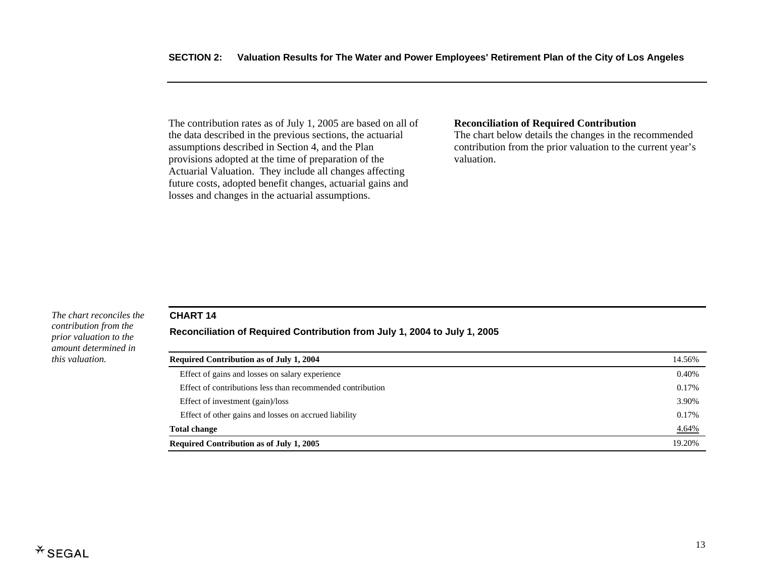The contribution rates as of July 1, 2005 are based on all of the data described in the previous sections, the actuarial assumptions described in Section 4, and the Plan provisions adopted at the time of preparation of the Actuarial Valuation. They include all changes affecting future costs, adopted benefit changes, actuarial gains and losses and changes in the actuarial assumptions.

#### **Reconciliation of Required Contribution**

The chart below details the changes in the recommended contribution from the prior valuation to the current year's valuation.

#### *The chart reconciles the contribution from the prior valuation to the amount determined in this valuation.*

#### **CHART 14**

#### **Reconciliation of Required Contribution from July 1, 2004 to July 1, 2005**

| <b>Required Contribution as of July 1, 2004</b>            |        |  |  |
|------------------------------------------------------------|--------|--|--|
| Effect of gains and losses on salary experience            | 0.40%  |  |  |
| Effect of contributions less than recommended contribution | 0.17%  |  |  |
| Effect of investment (gain)/loss                           | 3.90%  |  |  |
| Effect of other gains and losses on accrued liability      | 0.17%  |  |  |
| <b>Total change</b>                                        | 4.64%  |  |  |
| <b>Required Contribution as of July 1, 2005</b>            | 19.20% |  |  |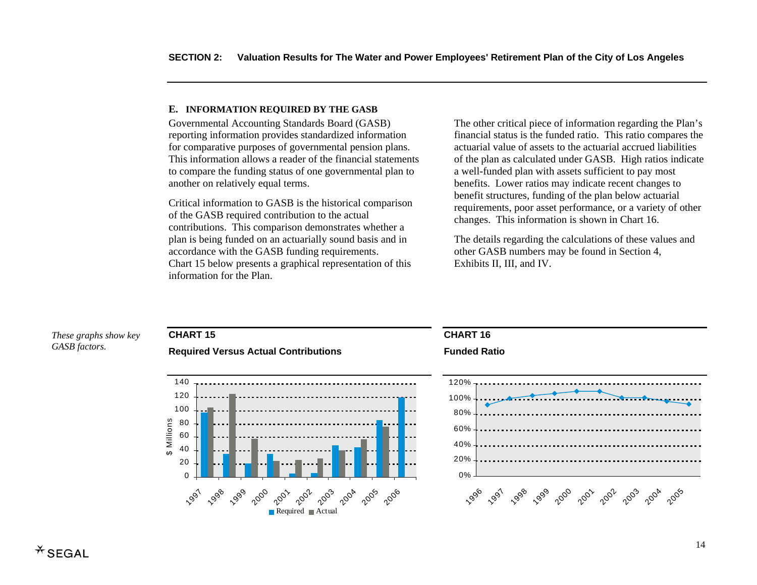#### **E. INFORMATION REQUIRED BY THE GASB**

Governmental Accounting Standards Board (GASB) reporting information provides standardized information for comparative purposes of governmental pension plans. This information allows a reader of the financial statements to compare the funding status of one governmental plan to another on relatively equal terms.

Critical information to GASB is the historical comparison of the GASB required contribution to the actual contributions. This comparison demonstrates whether a plan is being funded on an actuarially sound basis and in accordance with the GASB funding requirements. Chart 15 below presents a graphical representation of this information for the Plan.

The other critical piece of information regarding the Plan's financial status is the funded ratio. This ratio compares the actuarial value of assets to the actuarial accrued liabilities of the plan as calculated under GASB. High ratios indicate a well-funded plan with assets sufficient to pay most benefits. Lower ratios may indicate recent changes to benefit structures, funding of the plan below actuarial requirements, poor asset performance, or a variety of other changes. This information is shown in Chart 16.

The details regarding the calculations of these values and other GASB numbers may be found in Section 4, Exhibits II, III, and IV.

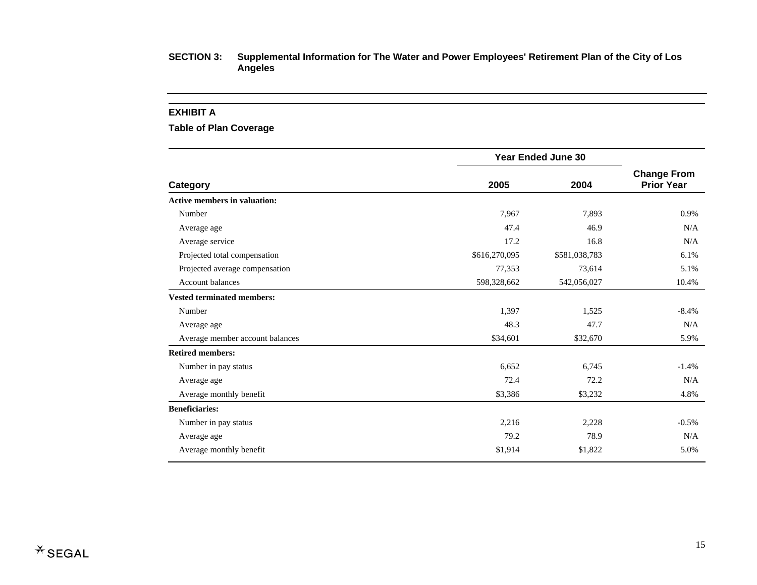#### **EXHIBIT A**

**Table of Plan Coverage** 

|                                     |               | <b>Year Ended June 30</b> |                                         |  |  |
|-------------------------------------|---------------|---------------------------|-----------------------------------------|--|--|
| Category                            | 2005          | 2004                      | <b>Change From</b><br><b>Prior Year</b> |  |  |
| <b>Active members in valuation:</b> |               |                           |                                         |  |  |
| Number                              | 7,967         | 7,893                     | 0.9%                                    |  |  |
| Average age                         | 47.4          | 46.9                      | N/A                                     |  |  |
| Average service                     | 17.2          | 16.8                      | N/A                                     |  |  |
| Projected total compensation        | \$616,270,095 | \$581,038,783             | 6.1%                                    |  |  |
| Projected average compensation      | 77,353        | 73,614                    | 5.1%                                    |  |  |
| <b>Account balances</b>             | 598,328,662   | 542,056,027               | 10.4%                                   |  |  |
| <b>Vested terminated members:</b>   |               |                           |                                         |  |  |
| Number                              | 1,397         | 1,525                     | $-8.4%$                                 |  |  |
| Average age                         | 48.3          | 47.7                      | N/A                                     |  |  |
| Average member account balances     | \$34,601      | \$32,670                  | 5.9%                                    |  |  |
| <b>Retired members:</b>             |               |                           |                                         |  |  |
| Number in pay status                | 6,652         | 6,745                     | $-1.4%$                                 |  |  |
| Average age                         | 72.4          | 72.2                      | N/A                                     |  |  |
| Average monthly benefit             | \$3,386       | \$3,232                   | 4.8%                                    |  |  |
| <b>Beneficiaries:</b>               |               |                           |                                         |  |  |
| Number in pay status                | 2,216         | 2,228                     | $-0.5%$                                 |  |  |
| Average age                         | 79.2          | 78.9                      | N/A                                     |  |  |
| Average monthly benefit             | \$1,914       | \$1,822                   | 5.0%                                    |  |  |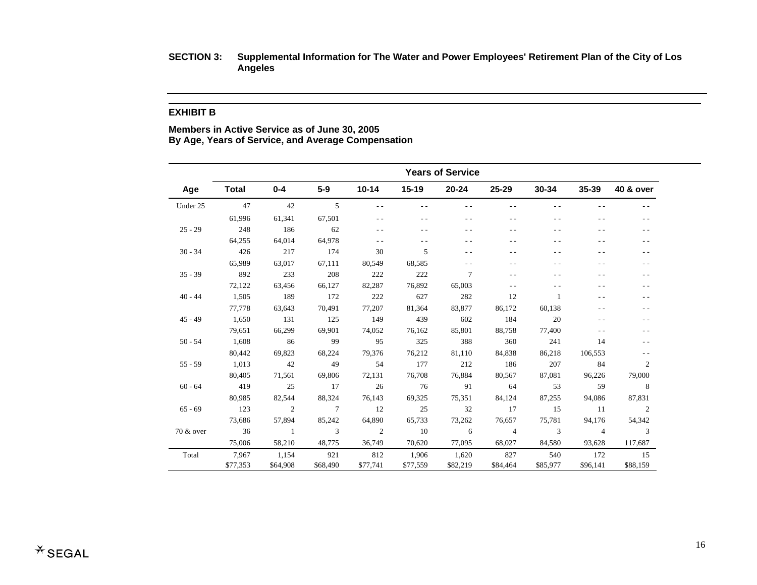#### **EXHIBIT B**

**Members in Active Service as of June 30, 2005 By Age, Years of Service, and Average Compensation** 

|           |              |                |                |               |          | <b>Years of Service</b> |                |           |                |                |
|-----------|--------------|----------------|----------------|---------------|----------|-------------------------|----------------|-----------|----------------|----------------|
| Age       | <b>Total</b> | $0 - 4$        | $5-9$          | $10 - 14$     | $15-19$  | 20-24                   | $25 - 29$      | $30 - 34$ | $35 - 39$      | 40 & over      |
| Under 25  | 47           | 42             | $\overline{5}$ | $\sim$ $\sim$ | $ -$     | - -                     | $\sim$ $\sim$  | $ -$      | $ -$           |                |
|           | 61,996       | 61,341         | 67,501         | $\sim$ $\sim$ | $ -$     | $ -$                    | - -            | - -       |                |                |
| $25 - 29$ | 248          | 186            | 62             | $ -$          | $ -$     | - -                     |                | - -       |                |                |
|           | 64,255       | 64,014         | 64,978         | $\sim$ $\sim$ |          | - -                     |                |           |                | - -            |
| $30 - 34$ | 426          | 217            | 174            | 30            | 5        | $ -$                    | - -            | - -       | $ -$           | - -            |
|           | 65,989       | 63,017         | 67,111         | 80,549        | 68,585   | - -                     |                |           |                |                |
| $35 - 39$ | 892          | 233            | 208            | 222           | 222      | 7                       |                | - -       | - -            | $ -$           |
|           | 72,122       | 63,456         | 66,127         | 82,287        | 76,892   | 65,003                  | $\sim$ $\sim$  | $ -$      | - -            |                |
| $40 - 44$ | 1,505        | 189            | 172            | 222           | 627      | 282                     | 12             | 1         |                | - -            |
|           | 77,778       | 63,643         | 70,491         | 77,207        | 81,364   | 83,877                  | 86,172         | 60,138    |                |                |
| $45 - 49$ | 1,650        | 131            | 125            | 149           | 439      | 602                     | 184            | 20        | $ -$           | - -            |
|           | 79.651       | 66,299         | 69.901         | 74,052        | 76,162   | 85,801                  | 88,758         | 77,400    | $ -$           | - -            |
| $50 - 54$ | 1,608        | 86             | -99            | 95            | 325      | 388                     | 360            | 241       | 14             | $ -$           |
|           | 80,442       | 69,823         | 68,224         | 79,376        | 76,212   | 81,110                  | 84,838         | 86,218    | 106,553        | $-$            |
| $55 - 59$ | 1,013        | 42             | 49             | 54            | 177      | 212                     | 186            | 207       | 84             | 2              |
|           | 80,405       | 71,561         | 69,806         | 72,131        | 76,708   | 76,884                  | 80,567         | 87,081    | 96,226         | 79,000         |
| $60 - 64$ | 419          | 25             | 17             | 26            | 76       | 91                      | 64             | 53        | 59             | 8              |
|           | 80,985       | 82,544         | 88,324         | 76,143        | 69,325   | 75,351                  | 84,124         | 87,255    | 94,086         | 87,831         |
| $65 - 69$ | 123          | $\overline{2}$ | $\overline{7}$ | 12            | 25       | 32                      | 17             | 15        | - 11           | 2              |
|           | 73,686       | 57,894         | 85,242         | 64,890        | 65,733   | 73,262                  | 76,657         | 75,781    | 94,176         | 54,342         |
| 70 & over | 36           | - 1            | 3              | 2             | - 10     | 6                       | $\overline{4}$ | 3         | $\overline{4}$ | $\overline{3}$ |
|           | 75,006       | 58,210         | 48,775         | 36,749        | 70,620   | 77,095                  | 68,027         | 84,580    | 93,628         | 117,687        |
| Total     | 7,967        | 1,154          | 921            | 812           | 1,906    | 1,620                   | 827            | 540       | 172            | 15             |
|           | \$77,353     | \$64,908       | \$68,490       | \$77,741      | \$77,559 | \$82,219                | \$84,464       | \$85,977  | \$96,141       | \$88,159       |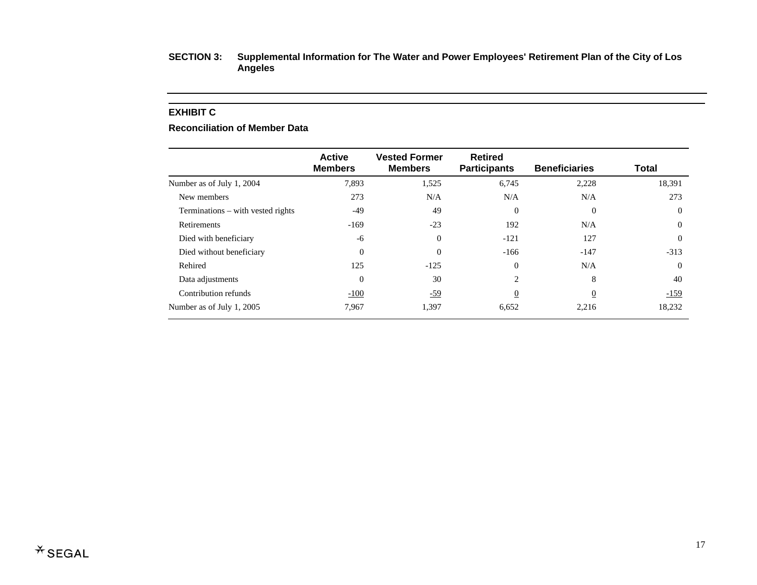#### **EXHIBIT C**

#### **Reconciliation of Member Data**

|                                   | <b>Active</b><br><b>Members</b> | <b>Vested Former</b><br><b>Members</b> | <b>Retired</b><br><b>Participants</b> | <b>Beneficiaries</b> | <b>Total</b> |
|-----------------------------------|---------------------------------|----------------------------------------|---------------------------------------|----------------------|--------------|
| Number as of July 1, 2004         | 7,893                           | 1,525                                  | 6,745                                 | 2,228                | 18,391       |
| New members                       | 273                             | N/A                                    | N/A                                   | N/A                  | 273          |
| Terminations – with vested rights | -49                             | 49                                     | 0                                     | $\Omega$             | $\Omega$     |
| Retirements                       | $-169$                          | $-23$                                  | 192                                   | N/A                  | $\Omega$     |
| Died with beneficiary             | -6                              | $\Omega$                               | $-121$                                | 127                  | $\Omega$     |
| Died without beneficiary          | $\Omega$                        | $\Omega$                               | $-166$                                | $-147$               | $-313$       |
| Rehired                           | 125                             | $-125$                                 | $\Omega$                              | N/A                  | $\Omega$     |
| Data adjustments                  | $\Omega$                        | 30                                     | 2                                     | 8                    | 40           |
| Contribution refunds              | $-100$                          | <u>-59</u>                             | $\overline{0}$                        | $\overline{0}$       | $-159$       |
| Number as of July 1, 2005         | 7,967                           | 1,397                                  | 6,652                                 | 2,216                | 18,232       |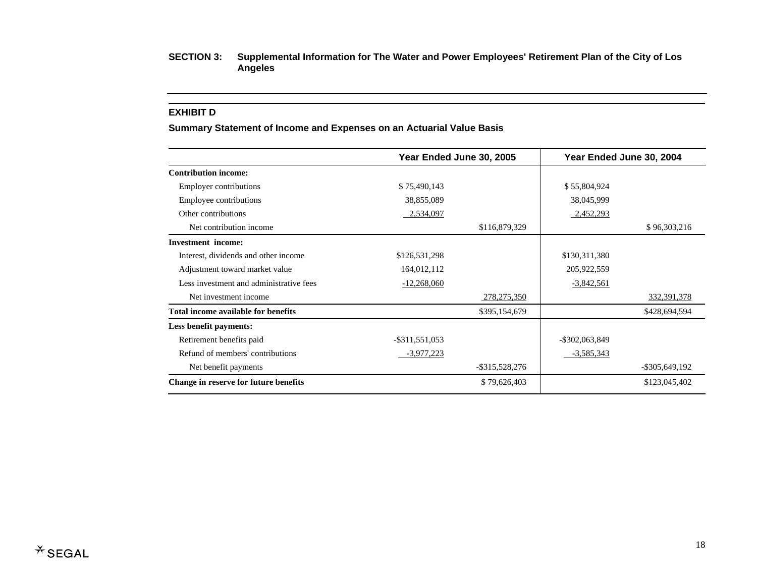#### **EXHIBIT D**

#### **Summary Statement of Income and Expenses on an Actuarial Value Basis**

|                                         | Year Ended June 30, 2005 |                   | Year Ended June 30, 2004 |                   |
|-----------------------------------------|--------------------------|-------------------|--------------------------|-------------------|
| <b>Contribution income:</b>             |                          |                   |                          |                   |
| Employer contributions                  | \$75,490,143             |                   | \$55,804,924             |                   |
| Employee contributions                  | 38,855,089               |                   | 38,045,999               |                   |
| Other contributions                     | 2,534,097                |                   | 2,452,293                |                   |
| Net contribution income                 |                          | \$116,879,329     |                          | \$96,303,216      |
| <b>Investment</b> income:               |                          |                   |                          |                   |
| Interest, dividends and other income    | \$126,531,298            |                   | \$130,311,380            |                   |
| Adjustment toward market value          | 164,012,112              |                   | 205,922,559              |                   |
| Less investment and administrative fees | $-12,268,060$            |                   | $-3,842,561$             |                   |
| Net investment income                   |                          | 278, 275, 350     |                          | 332, 391, 378     |
| Total income available for benefits     |                          | \$395,154,679     |                          | \$428,694,594     |
| Less benefit payments:                  |                          |                   |                          |                   |
| Retirement benefits paid                | $-$ \$311,551,053        |                   | $-$ \$302,063,849        |                   |
| Refund of members' contributions        | $-3,977,223$             |                   | $-3,585,343$             |                   |
| Net benefit payments                    |                          | $-$ \$315,528,276 |                          | $-$ \$305,649,192 |
| Change in reserve for future benefits   |                          | \$79,626,403      |                          | \$123,045,402     |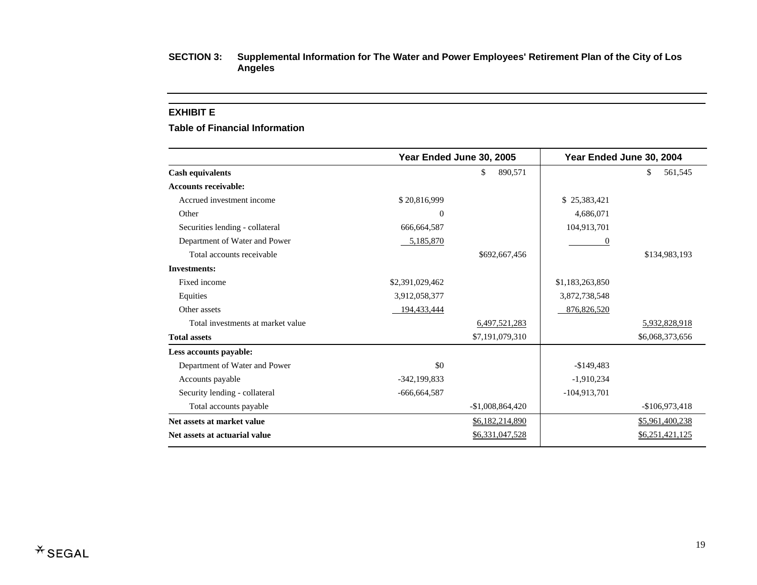#### **EXHIBIT E**

**Table of Financial Information** 

|                                   |                  | Year Ended June 30, 2005 |                 | Year Ended June 30, 2004 |
|-----------------------------------|------------------|--------------------------|-----------------|--------------------------|
| <b>Cash equivalents</b>           |                  | \$<br>890,571            |                 | \$<br>561,545            |
| <b>Accounts receivable:</b>       |                  |                          |                 |                          |
| Accrued investment income         | \$20,816,999     |                          | \$25,383,421    |                          |
| Other                             | $\Omega$         |                          | 4,686,071       |                          |
| Securities lending - collateral   | 666,664,587      |                          | 104,913,701     |                          |
| Department of Water and Power     | 5,185,870        |                          | 0               |                          |
| Total accounts receivable         |                  | \$692,667,456            |                 | \$134,983,193            |
| <b>Investments:</b>               |                  |                          |                 |                          |
| Fixed income                      | \$2,391,029,462  |                          | \$1,183,263,850 |                          |
| Equities                          | 3,912,058,377    |                          | 3,872,738,548   |                          |
| Other assets                      | 194,433,444      |                          | 876, 826, 520   |                          |
| Total investments at market value |                  | 6,497,521,283            |                 | 5,932,828,918            |
| <b>Total assets</b>               |                  | \$7,191,079,310          |                 | \$6,068,373,656          |
| Less accounts payable:            |                  |                          |                 |                          |
| Department of Water and Power     | \$0              |                          | $-$149,483$     |                          |
| Accounts payable                  | $-342, 199, 833$ |                          | $-1,910,234$    |                          |
| Security lending - collateral     | $-666,664,587$   |                          | $-104,913,701$  |                          |
| Total accounts payable            |                  | $-$1,008,864,420$        |                 | $-$106,973,418$          |
| Net assets at market value        |                  | \$6,182,214,890          |                 | \$5,961,400,238          |
| Net assets at actuarial value     |                  | \$6,331,047,528          |                 | \$6,251,421,125          |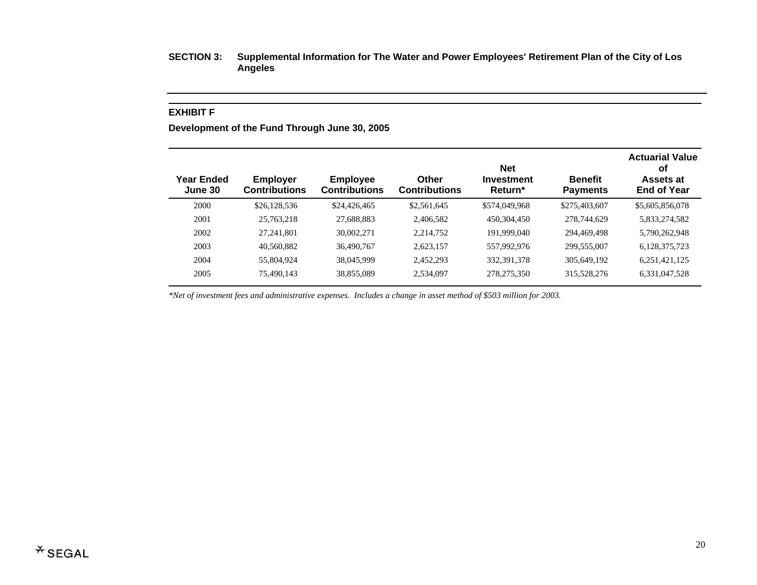#### **EXHIBIT F**

**Development of the Fund Through June 30, 2005** 

| Year Ended<br>June 30 | <b>Employer</b><br><b>Contributions</b> | <b>Employee</b><br><b>Contributions</b> | Other<br><b>Contributions</b> | <b>Net</b><br>Investment<br>Return* | <b>Benefit</b><br><b>Payments</b> | <b>Actuarial Value</b><br>οf<br>Assets at<br><b>End of Year</b> |
|-----------------------|-----------------------------------------|-----------------------------------------|-------------------------------|-------------------------------------|-----------------------------------|-----------------------------------------------------------------|
| 2000                  | \$26,128,536                            | \$24,426,465                            | \$2,561,645                   | \$574,049,968                       | \$275,403,607                     | \$5,605,856,078                                                 |
| 2001                  | 25,763,218                              | 27,688,883                              | 2,406,582                     | 450,304,450                         | 278,744,629                       | 5,833,274,582                                                   |
| 2002                  | 27, 241, 801                            | 30,002,271                              | 2,214,752                     | 191,999,040                         | 294,469,498                       | 5,790,262,948                                                   |
| 2003                  | 40,560,882                              | 36,490,767                              | 2,623,157                     | 557,992,976                         | 299,555,007                       | 6,128,375,723                                                   |
| 2004                  | 55,804,924                              | 38,045,999                              | 2,452,293                     | 332, 391, 378                       | 305,649,192                       | 6,251,421,125                                                   |
| 2005                  | 75,490,143                              | 38,855,089                              | 2,534,097                     | 278, 275, 350                       | 315,528,276                       | 6,331,047,528                                                   |

*\*Net of investment fees and administrative expenses. Includes a change in asset method of \$503 million for 2003.*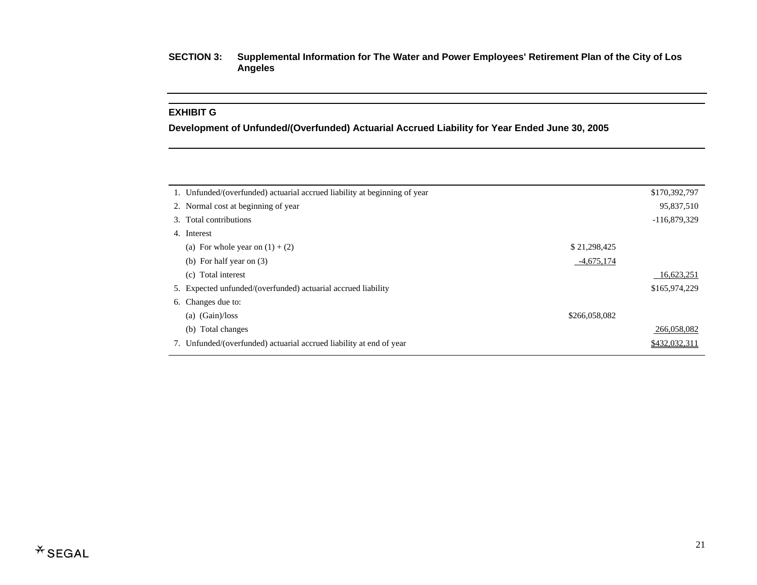#### **EXHIBIT G**

**Development of Unfunded/(Overfunded) Actuarial Accrued Liability for Year Ended June 30, 2005** 

| 1. Unfunded/(overfunded) actuarial accrued liability at beginning of year<br>2. Normal cost at beginning of year<br>3. Total contributions<br>4. Interest<br>\$21,298,425<br>(a) For whole year on $(1) + (2)$<br>$-4,675,174$<br>(b) For half year on $(3)$<br>Total interest<br>(c)<br>5. Expected unfunded/(overfunded) actuarial accrued liability<br>6. Changes due to:<br>(Gain)/loss<br>\$266,058,082<br>(a)<br>Total changes<br>(b)<br>7. Unfunded/(overfunded) actuarial accrued liability at end of year |  |                |
|--------------------------------------------------------------------------------------------------------------------------------------------------------------------------------------------------------------------------------------------------------------------------------------------------------------------------------------------------------------------------------------------------------------------------------------------------------------------------------------------------------------------|--|----------------|
|                                                                                                                                                                                                                                                                                                                                                                                                                                                                                                                    |  | \$170,392,797  |
|                                                                                                                                                                                                                                                                                                                                                                                                                                                                                                                    |  | 95,837,510     |
|                                                                                                                                                                                                                                                                                                                                                                                                                                                                                                                    |  | $-116,879,329$ |
|                                                                                                                                                                                                                                                                                                                                                                                                                                                                                                                    |  |                |
|                                                                                                                                                                                                                                                                                                                                                                                                                                                                                                                    |  |                |
|                                                                                                                                                                                                                                                                                                                                                                                                                                                                                                                    |  |                |
|                                                                                                                                                                                                                                                                                                                                                                                                                                                                                                                    |  | 16,623,251     |
|                                                                                                                                                                                                                                                                                                                                                                                                                                                                                                                    |  | \$165,974,229  |
|                                                                                                                                                                                                                                                                                                                                                                                                                                                                                                                    |  |                |
|                                                                                                                                                                                                                                                                                                                                                                                                                                                                                                                    |  |                |
|                                                                                                                                                                                                                                                                                                                                                                                                                                                                                                                    |  | 266,058,082    |
|                                                                                                                                                                                                                                                                                                                                                                                                                                                                                                                    |  | \$432,032,311  |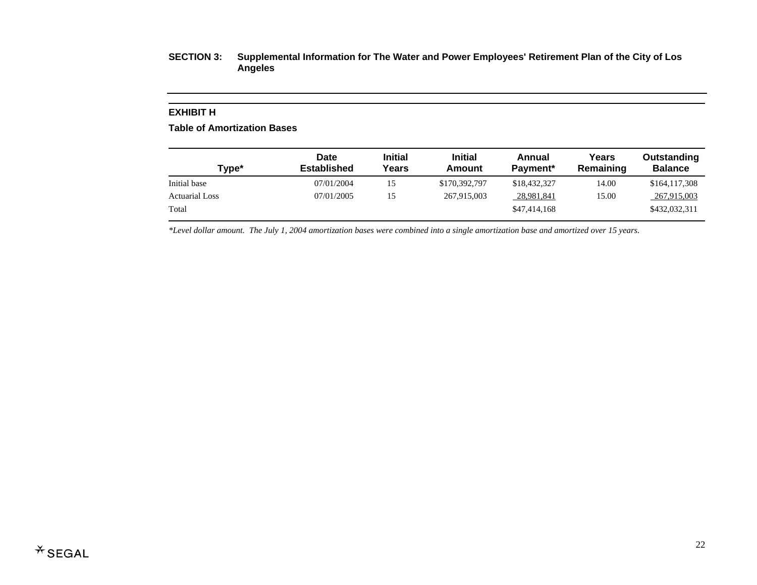#### **EXHIBIT H**

**Table of Amortization Bases** 

| Type*                 | Date<br><b>Established</b> | <b>Initial</b><br>Years | <b>Initial</b><br>Amount | Annual<br>Payment <sup>*</sup> | Years<br>Remaining | Outstanding<br><b>Balance</b> |
|-----------------------|----------------------------|-------------------------|--------------------------|--------------------------------|--------------------|-------------------------------|
| Initial base          | 07/01/2004                 | 15                      | \$170,392,797            | \$18,432,327                   | 14.00              | \$164,117,308                 |
| <b>Actuarial Loss</b> | 07/01/2005                 | 15                      | 267,915,003              | 28,981,841                     | 15.00              | 267,915,003                   |
| Total                 |                            |                         |                          | \$47,414,168                   |                    | \$432,032,311                 |

*\*Level dollar amount. The July 1, 2004 amortization bases were combined into a single amortization base and amortized over 15 years.*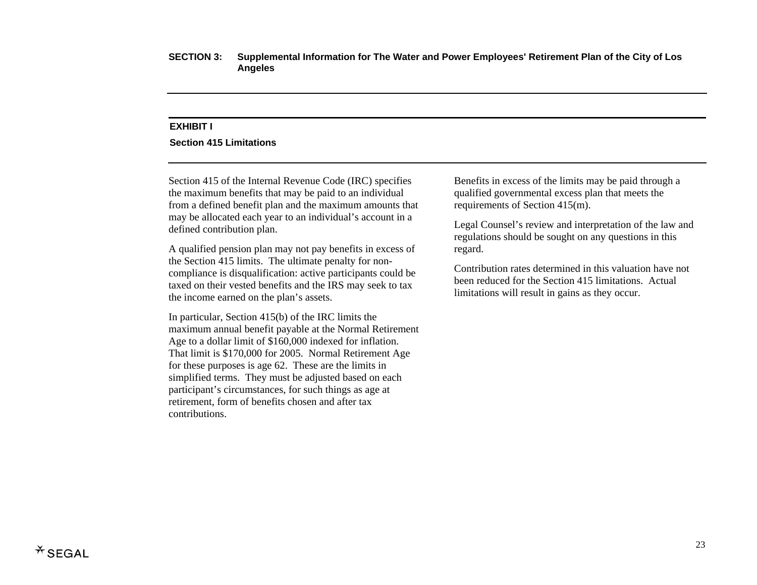#### **EXHIBIT I**

#### **Section 415 Limitations**

Section 415 of the Internal Revenue Code (IRC) specifies the maximum benefits that may be paid to an individual from a defined benefit plan and the maximum amounts that may be allocated each year to an individual's account in a defined contribution plan.

A qualified pension plan may not pay benefits in excess of the Section 415 limits. The ultimate penalty for noncompliance is disqualification: active participants could be taxed on their vested benefits and the IRS may seek to tax the income earned on the plan's assets.

In particular, Section 415(b) of the IRC limits the maximum annual benefit payable at the Normal Retirement Age to a dollar limit of \$160,000 indexed for inflation. That limit is \$170,000 for 2005. Normal Retirement Age for these purposes is age 62. These are the limits in simplified terms. They must be adjusted based on each participant's circumstances, for such things as age at retirement, form of benefits chosen and after tax contributions.

Benefits in excess of the limits may be paid through a qualified governmental excess plan that meets the requirements of Section 415(m).

Legal Counsel's review and interpretation of the law and regulations should be sought on any questions in this regard.

Contribution rates determined in this valuation have not been reduced for the Section 415 limitations. Actual limitations will result in gains as they occur.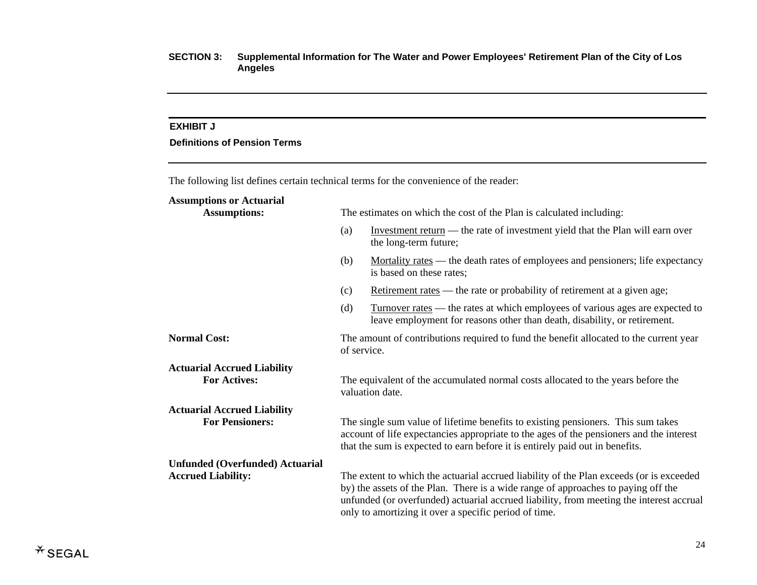#### **EXHIBIT J**

## **Definitions of Pension Terms**

The following list defines certain technical terms for the convenience of the reader:

## **Assumptions or Actuarial**

| <b>Assumptions:</b>                                          | The estimates on which the cost of the Plan is calculated including:                                                                                                                                                                                        |                                                                                                                                                                                                                                                                                                                                  |  |  |  |
|--------------------------------------------------------------|-------------------------------------------------------------------------------------------------------------------------------------------------------------------------------------------------------------------------------------------------------------|----------------------------------------------------------------------------------------------------------------------------------------------------------------------------------------------------------------------------------------------------------------------------------------------------------------------------------|--|--|--|
|                                                              | (a)                                                                                                                                                                                                                                                         | Investment return — the rate of investment yield that the Plan will earn over<br>the long-term future;                                                                                                                                                                                                                           |  |  |  |
|                                                              | (b)                                                                                                                                                                                                                                                         | Mortality rates — the death rates of employees and pensioners; life expectancy<br>is based on these rates;                                                                                                                                                                                                                       |  |  |  |
|                                                              | (c)                                                                                                                                                                                                                                                         | Retirement rates — the rate or probability of retirement at a given age;                                                                                                                                                                                                                                                         |  |  |  |
|                                                              | (d)                                                                                                                                                                                                                                                         | <u>Turnover rates</u> — the rates at which employees of various ages are expected to<br>leave employment for reasons other than death, disability, or retirement.                                                                                                                                                                |  |  |  |
| <b>Normal Cost:</b>                                          | The amount of contributions required to fund the benefit allocated to the current year<br>of service.                                                                                                                                                       |                                                                                                                                                                                                                                                                                                                                  |  |  |  |
| <b>Actuarial Accrued Liability</b><br><b>For Actives:</b>    | The equivalent of the accumulated normal costs allocated to the years before the<br>valuation date.                                                                                                                                                         |                                                                                                                                                                                                                                                                                                                                  |  |  |  |
| <b>Actuarial Accrued Liability</b><br><b>For Pensioners:</b> | The single sum value of lifetime benefits to existing pensioners. This sum takes<br>account of life expectancies appropriate to the ages of the pensioners and the interest<br>that the sum is expected to earn before it is entirely paid out in benefits. |                                                                                                                                                                                                                                                                                                                                  |  |  |  |
| <b>Unfunded (Overfunded) Actuarial</b>                       |                                                                                                                                                                                                                                                             |                                                                                                                                                                                                                                                                                                                                  |  |  |  |
| <b>Accrued Liability:</b>                                    |                                                                                                                                                                                                                                                             | The extent to which the actuarial accrued liability of the Plan exceeds (or is exceeded<br>by) the assets of the Plan. There is a wide range of approaches to paying off the<br>unfunded (or overfunded) actuarial accrued liability, from meeting the interest accrual<br>only to amortizing it over a specific period of time. |  |  |  |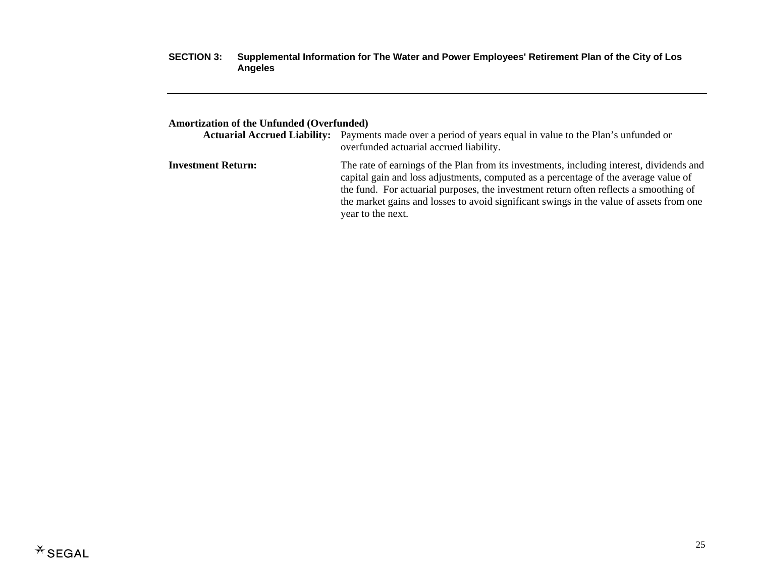## **Amortization of the Unfunded (Overfunded)**

|                           | <b>Actuarial Accrued Liability:</b> Payments made over a period of years equal in value to the Plan's unfunded or<br>overfunded actuarial accrued liability.                                                                                                                                                                                                                             |
|---------------------------|------------------------------------------------------------------------------------------------------------------------------------------------------------------------------------------------------------------------------------------------------------------------------------------------------------------------------------------------------------------------------------------|
| <b>Investment Return:</b> | The rate of earnings of the Plan from its investments, including interest, dividends and<br>capital gain and loss adjustments, computed as a percentage of the average value of<br>the fund. For actuarial purposes, the investment return often reflects a smoothing of<br>the market gains and losses to avoid significant swings in the value of assets from one<br>year to the next. |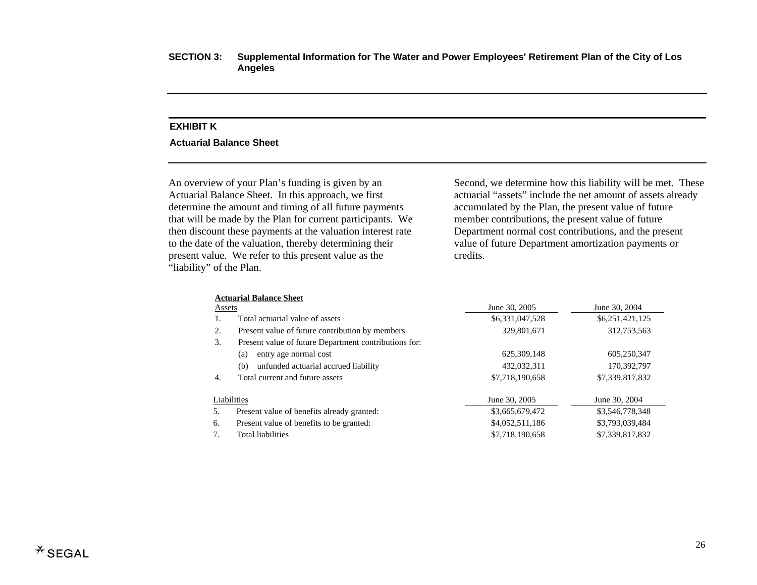## **EXHIBIT K**

#### **Actuarial Balance Sheet**

An overview of your Plan's funding is given by an Actuarial Balance Sheet. In this approach, we first determine the amount and timing of all future payments that will be made by the Plan for current participants. We then discount these payments at the valuation interest rate to the date of the valuation, thereby determining their present value. We refer to this present value as the "liability" of the Plan.

Second, we determine how this liability will be met. These actuarial "assets" include the net amount of assets already accumulated by the Plan, the present value of future member contributions, the present value of future Department normal cost contributions, and the present value of future Department amortization payments or credits.

|             | <b>Actuarial Balance Sheet</b>                        |                 |                 |  |
|-------------|-------------------------------------------------------|-----------------|-----------------|--|
| Assets      |                                                       | June 30, 2005   | June 30, 2004   |  |
| Ι.          | Total actuarial value of assets                       | \$6,331,047,528 | \$6,251,421,125 |  |
| 2.          | Present value of future contribution by members       | 329,801,671     | 312,753,563     |  |
| 3.          | Present value of future Department contributions for: |                 |                 |  |
|             | entry age normal cost<br>(a)                          | 625,309,148     | 605,250,347     |  |
|             | unfunded actuarial accrued liability<br>(b)           | 432,032,311     | 170,392,797     |  |
| 4.          | Total current and future assets                       | \$7,718,190,658 | \$7,339,817,832 |  |
| Liabilities |                                                       | June 30, 2005   | June 30, 2004   |  |
| 5.          | Present value of benefits already granted:            | \$3,665,679,472 | \$3,546,778,348 |  |
| 6.          | Present value of benefits to be granted:              | \$4,052,511,186 | \$3,793,039,484 |  |
| 7.          | <b>Total liabilities</b>                              | \$7,718,190,658 | \$7,339,817,832 |  |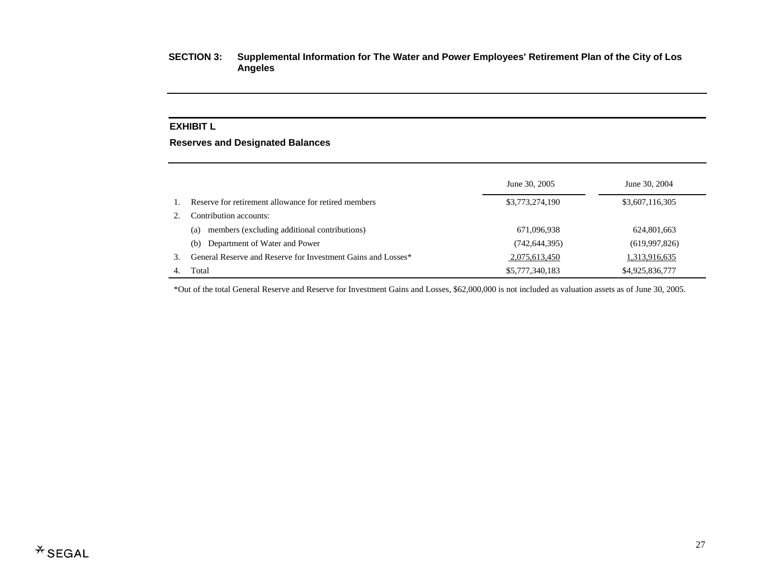## **EXHIBIT L**

## **Reserves and Designated Balances**

|    |                                                              | June 30, 2005   | June 30, 2004   |
|----|--------------------------------------------------------------|-----------------|-----------------|
|    | Reserve for retirement allowance for retired members         | \$3,773,274,190 | \$3,607,116,305 |
|    | Contribution accounts:                                       |                 |                 |
|    | members (excluding additional contributions)<br>(a)          | 671,096,938     | 624,801,663     |
|    | Department of Water and Power<br>(b)                         | (742, 644, 395) | (619,997,826)   |
| 3. | General Reserve and Reserve for Investment Gains and Losses* | 2,075,613,450   | 1,313,916,635   |
|    | Total                                                        | \$5,777,340,183 | \$4,925,836,777 |

\*Out of the total General Reserve and Reserve for Investment Gains and Losses, \$62,000,000 is not included as valuation assets as of June 30, 2005.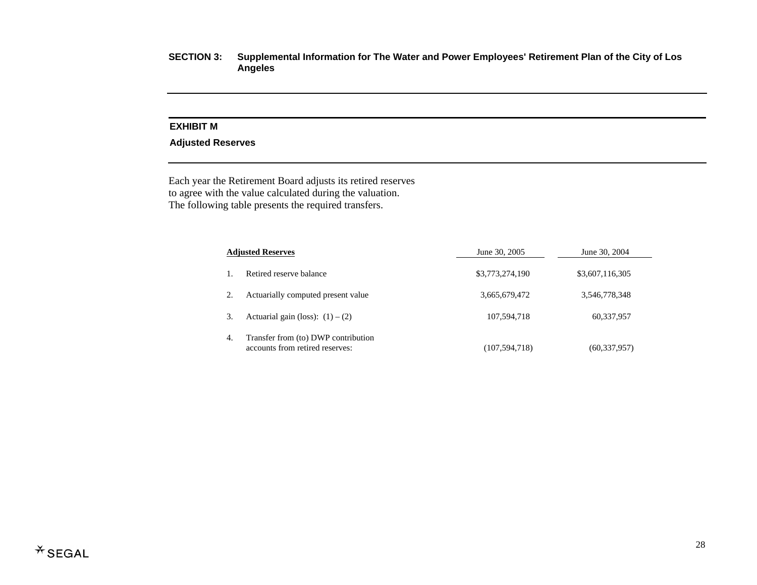## **EXHIBIT M**

### **Adjusted Reserves**

Each year the Retirement Board adjusts its retired reserves to agree with the value calculated during the valuation. The following table presents the required transfers.

|    | <b>Adjusted Reserves</b>                                               | June 30, 2005   | June 30, 2004   |  |
|----|------------------------------------------------------------------------|-----------------|-----------------|--|
|    | Retired reserve balance                                                | \$3,773,274,190 | \$3,607,116,305 |  |
|    | Actuarially computed present value                                     | 3,665,679,472   | 3,546,778,348   |  |
| 3. | Actuarial gain (loss): $(1) - (2)$                                     | 107,594,718     | 60,337,957      |  |
| 4. | Transfer from (to) DWP contribution<br>accounts from retired reserves: | (107, 594, 718) | (60, 337, 957)  |  |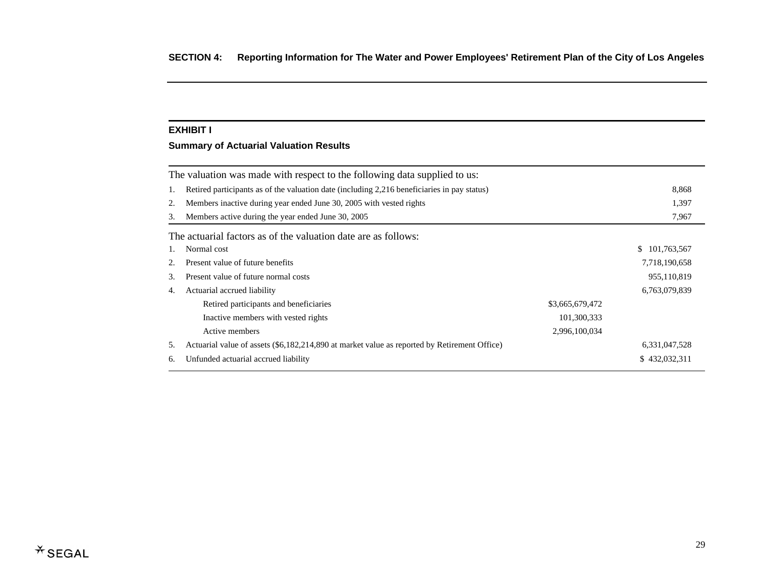#### **EXHIBIT I**

## **Summary of Actuarial Valuation Results**

|    | The valuation was made with respect to the following data supplied to us:                    |                 |                   |  |  |  |
|----|----------------------------------------------------------------------------------------------|-----------------|-------------------|--|--|--|
| 1. | Retired participants as of the valuation date (including 2,216 beneficiaries in pay status)  |                 |                   |  |  |  |
| 2. | Members inactive during year ended June 30, 2005 with vested rights                          |                 | 1,397             |  |  |  |
| 3. | Members active during the year ended June 30, 2005                                           |                 |                   |  |  |  |
|    | The actuarial factors as of the valuation date are as follows:                               |                 |                   |  |  |  |
|    | Normal cost                                                                                  |                 | \$<br>101,763,567 |  |  |  |
| 2. | Present value of future benefits                                                             |                 | 7,718,190,658     |  |  |  |
| 3. | Present value of future normal costs                                                         |                 | 955,110,819       |  |  |  |
| 4. | Actuarial accrued liability                                                                  |                 | 6,763,079,839     |  |  |  |
|    | Retired participants and beneficiaries                                                       | \$3,665,679,472 |                   |  |  |  |
|    | Inactive members with vested rights                                                          | 101,300,333     |                   |  |  |  |
|    | Active members                                                                               | 2,996,100,034   |                   |  |  |  |
| 5. | Actuarial value of assets (\$6,182,214,890 at market value as reported by Retirement Office) |                 | 6,331,047,528     |  |  |  |
| 6. | Unfunded actuarial accrued liability                                                         |                 | \$432,032,311     |  |  |  |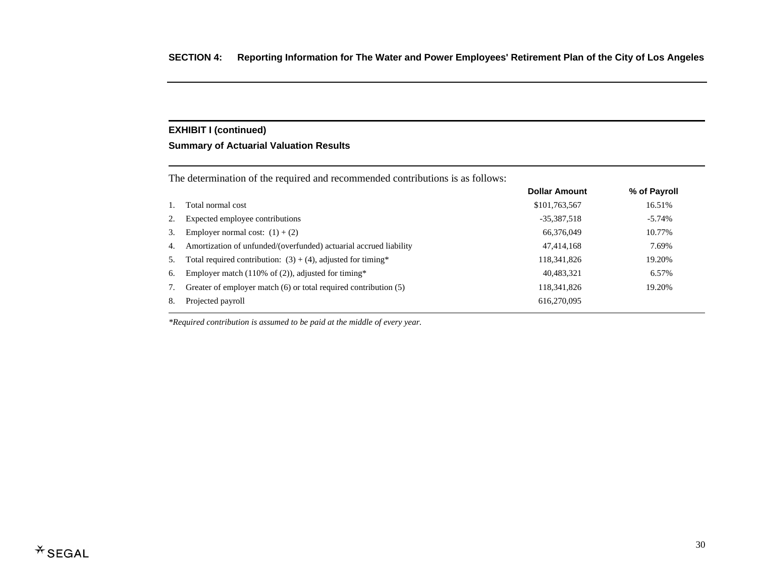## **EXHIBIT I (continued)**

### **Summary of Actuarial Valuation Results**

|    | The determination of the required and recommended contributions is as follows: |                      |              |  |  |  |
|----|--------------------------------------------------------------------------------|----------------------|--------------|--|--|--|
|    |                                                                                | <b>Dollar Amount</b> | % of Payroll |  |  |  |
|    | Total normal cost                                                              | \$101,763,567        | 16.51%       |  |  |  |
| 2. | Expected employee contributions                                                | $-35,387,518$        | $-5.74%$     |  |  |  |
| 3. | Employer normal cost: $(1) + (2)$                                              | 66,376,049           | 10.77%       |  |  |  |
| 4. | Amortization of unfunded/(overfunded) actuarial accrued liability              | 47,414,168           | 7.69%        |  |  |  |
| 5. | Total required contribution: $(3) + (4)$ , adjusted for timing*                | 118, 341, 826        | 19.20%       |  |  |  |
| 6. | Employer match (110% of $(2)$ ), adjusted for timing*                          | 40.483.321           | 6.57%        |  |  |  |
| 7. | Greater of employer match $(6)$ or total required contribution $(5)$           | 118, 341, 826        | 19.20%       |  |  |  |
| 8. | Projected payroll                                                              | 616,270,095          |              |  |  |  |
|    |                                                                                |                      |              |  |  |  |

*\*Required contribution is assumed to be paid at the middle of every year.*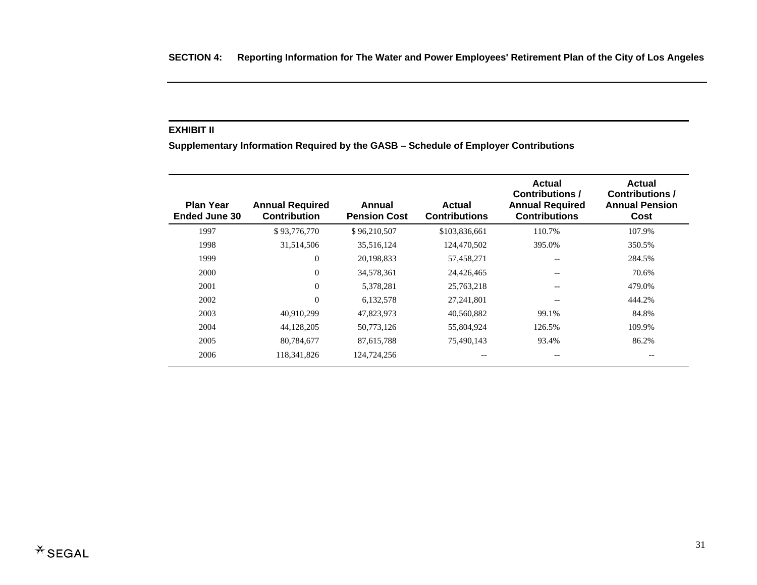#### **EXHIBIT II**

**Supplementary Information Required by the GASB – Schedule of Employer Contributions**

| <b>Plan Year</b><br><b>Ended June 30</b> | <b>Annual Required</b><br>Contribution | Annual<br><b>Pension Cost</b> | Actual<br><b>Contributions</b> | <b>Actual</b><br><b>Contributions /</b><br><b>Annual Required</b><br><b>Contributions</b> | <b>Actual</b><br><b>Contributions /</b><br><b>Annual Pension</b><br>Cost |
|------------------------------------------|----------------------------------------|-------------------------------|--------------------------------|-------------------------------------------------------------------------------------------|--------------------------------------------------------------------------|
| 1997                                     | \$93,776,770                           | \$96,210,507                  | \$103,836,661                  | 110.7%                                                                                    | 107.9%                                                                   |
| 1998                                     | 31,514,506                             | 35,516,124                    | 124,470,502                    | 395.0%                                                                                    | 350.5%                                                                   |
| 1999                                     | $\theta$                               | 20,198,833                    | 57,458,271                     | --                                                                                        | 284.5%                                                                   |
| 2000                                     | $\overline{0}$                         | 34,578,361                    | 24,426,465                     |                                                                                           | 70.6%                                                                    |
| 2001                                     | $\Omega$                               | 5,378,281                     | 25,763,218                     |                                                                                           | 479.0%                                                                   |
| 2002                                     | $\theta$                               | 6,132,578                     | 27,241,801                     | --                                                                                        | 444.2%                                                                   |
| 2003                                     | 40,910,299                             | 47,823,973                    | 40,560,882                     | 99.1%                                                                                     | 84.8%                                                                    |
| 2004                                     | 44,128,205                             | 50,773,126                    | 55,804,924                     | 126.5%                                                                                    | 109.9%                                                                   |
| 2005                                     | 80,784,677                             | 87,615,788                    | 75,490,143                     | 93.4%                                                                                     | 86.2%                                                                    |
| 2006                                     | 118,341,826                            | 124,724,256                   |                                |                                                                                           | --                                                                       |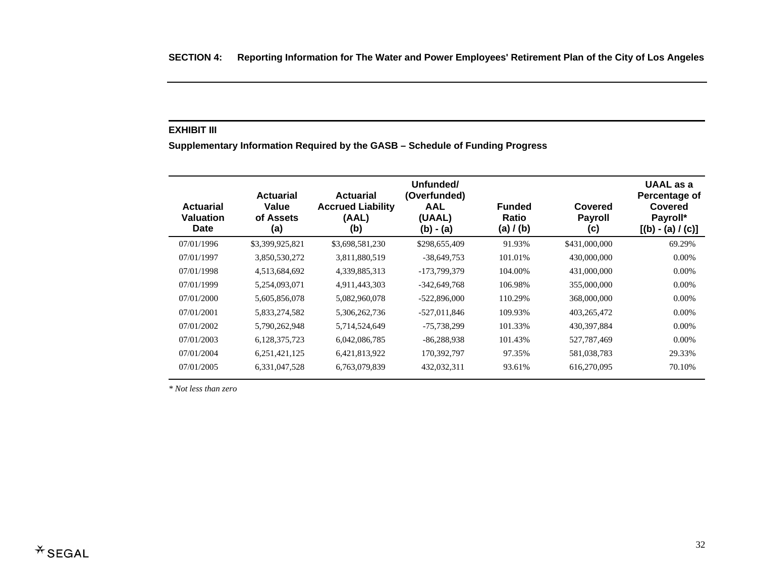#### **EXHIBIT III**

**Supplementary Information Required by the GASB – Schedule of Funding Progress** 

| <b>Actuarial</b><br>Valuation<br>Date | <b>Actuarial</b><br>Value<br>of Assets<br>(a) | <b>Actuarial</b><br><b>Accrued Liability</b><br>(AAL)<br>(b) | Unfunded/<br>(Overfunded)<br><b>AAL</b><br>(UAAL)<br>$(b) - (a)$ | <b>Funded</b><br>Ratio<br>(a) / (b) | Covered<br><b>Payroll</b><br>(c) | <b>UAAL</b> as a<br>Percentage of<br>Covered<br>Payroll*<br>$[(b) - (a) / (c)]$ |
|---------------------------------------|-----------------------------------------------|--------------------------------------------------------------|------------------------------------------------------------------|-------------------------------------|----------------------------------|---------------------------------------------------------------------------------|
| 07/01/1996                            | \$3,399,925,821                               | \$3,698,581,230                                              | \$298,655,409                                                    | 91.93%                              | \$431,000,000                    | 69.29%                                                                          |
| 07/01/1997                            | 3,850,530,272                                 | 3,811,880,519                                                | $-38,649,753$                                                    | 101.01%                             | 430,000,000                      | $0.00\%$                                                                        |
| 07/01/1998                            | 4,513,684,692                                 | 4,339,885,313                                                | -173,799,379                                                     | 104.00%                             | 431,000,000                      | $0.00\%$                                                                        |
| 07/01/1999                            | 5,254,093,071                                 | 4,911,443,303                                                | -342,649,768                                                     | 106.98%                             | 355,000,000                      | $0.00\%$                                                                        |
| 07/01/2000                            | 5,605,856,078                                 | 5,082,960,078                                                | $-522,896,000$                                                   | 110.29%                             | 368,000,000                      | $0.00\%$                                                                        |
| 07/01/2001                            | 5,833,274,582                                 | 5,306,262,736                                                | -527,011,846                                                     | 109.93%                             | 403,265,472                      | $0.00\%$                                                                        |
| 07/01/2002                            | 5,790,262,948                                 | 5,714,524,649                                                | -75,738,299                                                      | 101.33%                             | 430, 397, 884                    | $0.00\%$                                                                        |
| 07/01/2003                            | 6,128,375,723                                 | 6,042,086,785                                                | $-86,288,938$                                                    | 101.43%                             | 527,787,469                      | $0.00\%$                                                                        |
| 07/01/2004                            | 6,251,421,125                                 | 6,421,813,922                                                | 170,392,797                                                      | 97.35%                              | 581,038,783                      | 29.33%                                                                          |
| 07/01/2005                            | 6,331,047,528                                 | 6,763,079,839                                                | 432,032,311                                                      | 93.61%                              | 616,270,095                      | 70.10%                                                                          |

*\* Not less than zero*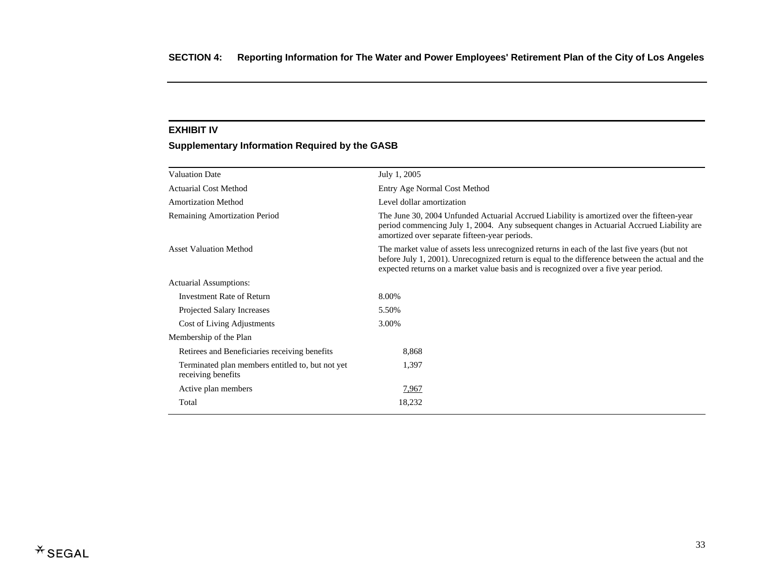#### **EXHIBIT IV**

## **Supplementary Information Required by the GASB**

| <b>Valuation Date</b>                                                  | July 1, 2005                                                                                                                                                                                                                                                                           |
|------------------------------------------------------------------------|----------------------------------------------------------------------------------------------------------------------------------------------------------------------------------------------------------------------------------------------------------------------------------------|
| <b>Actuarial Cost Method</b>                                           | Entry Age Normal Cost Method                                                                                                                                                                                                                                                           |
| <b>Amortization Method</b>                                             | Level dollar amortization                                                                                                                                                                                                                                                              |
| <b>Remaining Amortization Period</b>                                   | The June 30, 2004 Unfunded Actuarial Accrued Liability is amortized over the fifteen-year<br>period commencing July 1, 2004. Any subsequent changes in Actuarial Accrued Liability are<br>amortized over separate fifteen-year periods.                                                |
| <b>Asset Valuation Method</b>                                          | The market value of assets less unrecognized returns in each of the last five years (but not<br>before July 1, 2001). Unrecognized return is equal to the difference between the actual and the<br>expected returns on a market value basis and is recognized over a five year period. |
| Actuarial Assumptions:                                                 |                                                                                                                                                                                                                                                                                        |
| <b>Investment Rate of Return</b>                                       | 8.00%                                                                                                                                                                                                                                                                                  |
| Projected Salary Increases                                             | 5.50%                                                                                                                                                                                                                                                                                  |
| Cost of Living Adjustments                                             | 3.00%                                                                                                                                                                                                                                                                                  |
| Membership of the Plan                                                 |                                                                                                                                                                                                                                                                                        |
| Retirees and Beneficiaries receiving benefits                          | 8,868                                                                                                                                                                                                                                                                                  |
| Terminated plan members entitled to, but not yet<br>receiving benefits | 1,397                                                                                                                                                                                                                                                                                  |
| Active plan members                                                    | 7,967                                                                                                                                                                                                                                                                                  |
| Total                                                                  | 18,232                                                                                                                                                                                                                                                                                 |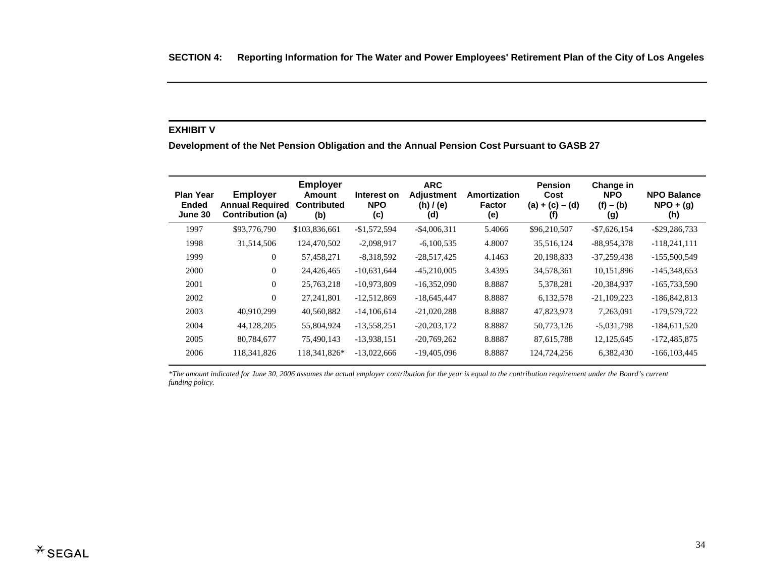#### **EXHIBIT V**

**Development of the Net Pension Obligation and the Annual Pension Cost Pursuant to GASB 27** 

| <b>Plan Year</b><br><b>Ended</b><br>June 30 | <b>Employer</b><br><b>Annual Required</b><br>Contribution (a) | <b>Employer</b><br>Amount<br><b>Contributed</b><br>(b) | Interest on<br><b>NPO</b><br>(c) | <b>ARC</b><br><b>Adjustment</b><br>(h) / (e)<br>(d) | Amortization<br><b>Factor</b><br>(e) | <b>Pension</b><br>Cost<br>$(a) + (c) - (d)$<br>(f) | Change in<br><b>NPO</b><br>$(f) - (b)$<br>(g) | <b>NPO Balance</b><br>$NPO + (g)$<br>(h) |
|---------------------------------------------|---------------------------------------------------------------|--------------------------------------------------------|----------------------------------|-----------------------------------------------------|--------------------------------------|----------------------------------------------------|-----------------------------------------------|------------------------------------------|
| 1997                                        | \$93,776,790                                                  | \$103,836,661                                          | $-$1,572,594$                    | $-$ \$4,006,311                                     | 5.4066                               | \$96,210,507                                       | $-$7,626,154$                                 | $-$ \$29,286,733                         |
| 1998                                        | 31,514,506                                                    | 124,470,502                                            | $-2,098,917$                     | $-6,100,535$                                        | 4.8007                               | 35,516,124                                         | $-88,954,378$                                 | $-118,241,111$                           |
| 1999                                        | $\overline{0}$                                                | 57,458,271                                             | $-8,318,592$                     | $-28,517,425$                                       | 4.1463                               | 20,198,833                                         | $-37,259,438$                                 | $-155,500,549$                           |
| 2000                                        | $\Omega$                                                      | 24,426,465                                             | $-10,631,644$                    | $-45,210,005$                                       | 3.4395                               | 34,578,361                                         | 10,151,896                                    | $-145,348,653$                           |
| 2001                                        | $\overline{0}$                                                | 25,763,218                                             | $-10,973,809$                    | $-16,352,090$                                       | 8.8887                               | 5,378,281                                          | $-20,384,937$                                 | $-165,733,590$                           |
| 2002                                        | $\mathbf{0}$                                                  | 27, 241, 801                                           | $-12,512,869$                    | $-18,645,447$                                       | 8.8887                               | 6,132,578                                          | $-21,109,223$                                 | $-186,842,813$                           |
| 2003                                        | 40,910,299                                                    | 40,560,882                                             | $-14,106,614$                    | $-21,020,288$                                       | 8.8887                               | 47,823,973                                         | 7,263,091                                     | -179,579,722                             |
| 2004                                        | 44,128,205                                                    | 55,804,924                                             | $-13,558,251$                    | $-20,203,172$                                       | 8.8887                               | 50,773,126                                         | $-5,031,798$                                  | $-184,611,520$                           |
| 2005                                        | 80,784,677                                                    | 75,490,143                                             | $-13,938,151$                    | $-20,769,262$                                       | 8.8887                               | 87,615,788                                         | 12,125,645                                    | -172,485,875                             |
| 2006                                        | 118, 341, 826                                                 | 118,341,826*                                           | $-13,022,666$                    | $-19,405,096$                                       | 8.8887                               | 124,724,256                                        | 6,382,430                                     | $-166, 103, 445$                         |

*\*The amount indicated for June 30, 2006 assumes the actual employer contribution for the year is equal to the contribution requirement under the Board's current funding policy.*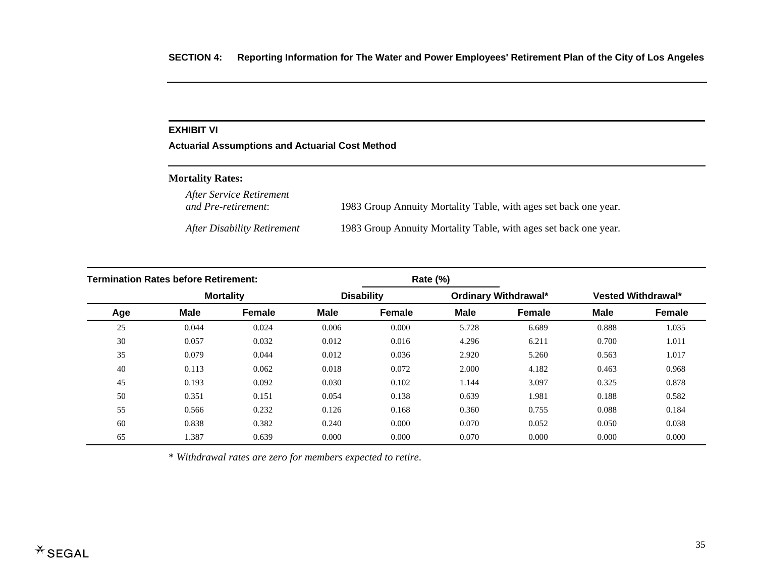#### **EXHIBIT VI**

**Actuarial Assumptions and Actuarial Cost Method** 

#### **Mortality Rates:**

*After Service Retirement*  1983 Group Annuity Mortality Table, with ages set back one year.

*After Disability Retirement* 1983 Group Annuity Mortality Table, with ages set back one year.

| <b>Termination Rates before Retirement:</b> |             |                  | Rate (%)    |                   |             |                      |             |                           |
|---------------------------------------------|-------------|------------------|-------------|-------------------|-------------|----------------------|-------------|---------------------------|
|                                             |             | <b>Mortality</b> |             | <b>Disability</b> |             | Ordinary Withdrawal* |             | <b>Vested Withdrawal*</b> |
| Age                                         | <b>Male</b> | <b>Female</b>    | <b>Male</b> | <b>Female</b>     | <b>Male</b> | <b>Female</b>        | <b>Male</b> | <b>Female</b>             |
| 25                                          | 0.044       | 0.024            | 0.006       | 0.000             | 5.728       | 6.689                | 0.888       | 1.035                     |
| 30                                          | 0.057       | 0.032            | 0.012       | 0.016             | 4.296       | 6.211                | 0.700       | 1.011                     |
| 35                                          | 0.079       | 0.044            | 0.012       | 0.036             | 2.920       | 5.260                | 0.563       | 1.017                     |
| 40                                          | 0.113       | 0.062            | 0.018       | 0.072             | 2.000       | 4.182                | 0.463       | 0.968                     |
| 45                                          | 0.193       | 0.092            | 0.030       | 0.102             | 1.144       | 3.097                | 0.325       | 0.878                     |
| 50                                          | 0.351       | 0.151            | 0.054       | 0.138             | 0.639       | 1.981                | 0.188       | 0.582                     |
| 55                                          | 0.566       | 0.232            | 0.126       | 0.168             | 0.360       | 0.755                | 0.088       | 0.184                     |
| 60                                          | 0.838       | 0.382            | 0.240       | 0.000             | 0.070       | 0.052                | 0.050       | 0.038                     |
| 65                                          | 1.387       | 0.639            | 0.000       | 0.000             | 0.070       | 0.000                | 0.000       | 0.000                     |

\* *Withdrawal rates are zero for members expected to retire*.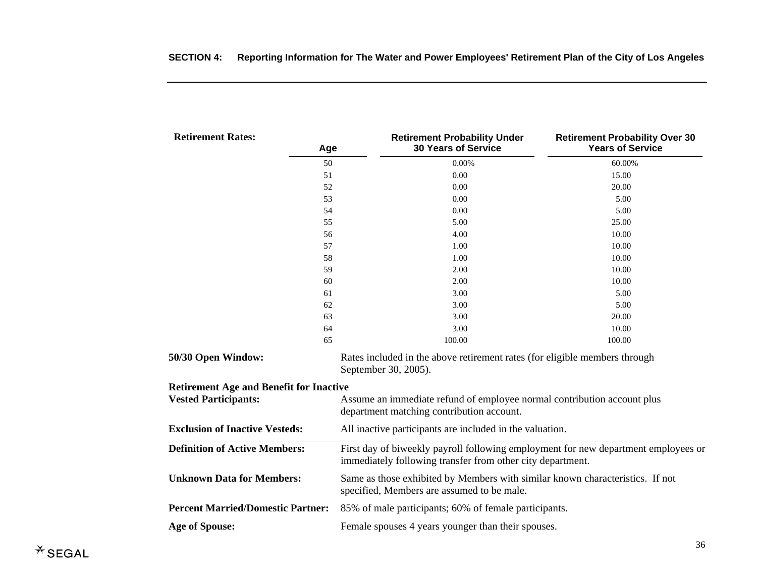| <b>Retirement Rates:</b><br>Age                                               | <b>Retirement Probability Under</b><br><b>30 Years of Service</b>                                                                                | <b>Retirement Probability Over 30</b><br><b>Years of Service</b> |  |  |  |
|-------------------------------------------------------------------------------|--------------------------------------------------------------------------------------------------------------------------------------------------|------------------------------------------------------------------|--|--|--|
| 50                                                                            | 0.00%                                                                                                                                            | 60.00%                                                           |  |  |  |
| 51                                                                            | $0.00\,$                                                                                                                                         | 15.00                                                            |  |  |  |
| 52                                                                            | 0.00                                                                                                                                             | 20.00                                                            |  |  |  |
| 53                                                                            | 0.00                                                                                                                                             | 5.00                                                             |  |  |  |
| 54                                                                            | 0.00                                                                                                                                             | 5.00                                                             |  |  |  |
| 55                                                                            | 5.00                                                                                                                                             | 25.00                                                            |  |  |  |
| 56                                                                            | 4.00                                                                                                                                             | 10.00                                                            |  |  |  |
| 57                                                                            | 1.00                                                                                                                                             | 10.00                                                            |  |  |  |
| 58                                                                            | 1.00                                                                                                                                             | 10.00                                                            |  |  |  |
| 59                                                                            | 2.00                                                                                                                                             | 10.00                                                            |  |  |  |
| 60                                                                            | 2.00                                                                                                                                             | 10.00                                                            |  |  |  |
| 61                                                                            | 3.00                                                                                                                                             | 5.00                                                             |  |  |  |
| 62                                                                            | 3.00                                                                                                                                             | 5.00                                                             |  |  |  |
| 63                                                                            | 3.00                                                                                                                                             | 20.00                                                            |  |  |  |
| 64                                                                            | 3.00                                                                                                                                             | 10.00                                                            |  |  |  |
| 65                                                                            | 100.00                                                                                                                                           | 100.00                                                           |  |  |  |
| 50/30 Open Window:                                                            | Rates included in the above retirement rates (for eligible members through<br>September 30, 2005).                                               |                                                                  |  |  |  |
| <b>Retirement Age and Benefit for Inactive</b><br><b>Vested Participants:</b> | Assume an immediate refund of employee normal contribution account plus<br>department matching contribution account.                             |                                                                  |  |  |  |
| <b>Exclusion of Inactive Vesteds:</b>                                         | All inactive participants are included in the valuation.                                                                                         |                                                                  |  |  |  |
| <b>Definition of Active Members:</b>                                          | First day of biweekly payroll following employment for new department employees or<br>immediately following transfer from other city department. |                                                                  |  |  |  |
| <b>Unknown Data for Members:</b>                                              | Same as those exhibited by Members with similar known characteristics. If not<br>specified, Members are assumed to be male.                      |                                                                  |  |  |  |
| <b>Percent Married/Domestic Partner:</b>                                      | 85% of male participants; 60% of female participants.                                                                                            |                                                                  |  |  |  |
| <b>Age of Spouse:</b>                                                         | Female spouses 4 years younger than their spouses.                                                                                               |                                                                  |  |  |  |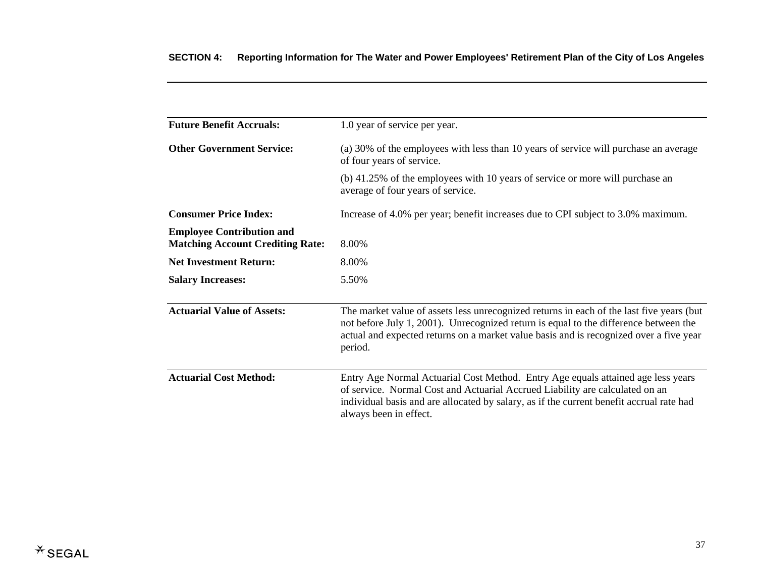| <b>Future Benefit Accruals:</b>                                             | 1.0 year of service per year.                                                                                                                                                                                                                                                          |
|-----------------------------------------------------------------------------|----------------------------------------------------------------------------------------------------------------------------------------------------------------------------------------------------------------------------------------------------------------------------------------|
| <b>Other Government Service:</b>                                            | (a) 30% of the employees with less than 10 years of service will purchase an average<br>of four years of service.                                                                                                                                                                      |
|                                                                             | (b) 41.25% of the employees with 10 years of service or more will purchase an<br>average of four years of service.                                                                                                                                                                     |
| <b>Consumer Price Index:</b>                                                | Increase of 4.0% per year; benefit increases due to CPI subject to 3.0% maximum.                                                                                                                                                                                                       |
| <b>Employee Contribution and</b><br><b>Matching Account Crediting Rate:</b> | 8.00%                                                                                                                                                                                                                                                                                  |
| <b>Net Investment Return:</b>                                               | 8.00%                                                                                                                                                                                                                                                                                  |
| <b>Salary Increases:</b>                                                    | 5.50%                                                                                                                                                                                                                                                                                  |
| <b>Actuarial Value of Assets:</b>                                           | The market value of assets less unrecognized returns in each of the last five years (but<br>not before July 1, 2001). Unrecognized return is equal to the difference between the<br>actual and expected returns on a market value basis and is recognized over a five year<br>period.  |
| <b>Actuarial Cost Method:</b>                                               | Entry Age Normal Actuarial Cost Method. Entry Age equals attained age less years<br>of service. Normal Cost and Actuarial Accrued Liability are calculated on an<br>individual basis and are allocated by salary, as if the current benefit accrual rate had<br>always been in effect. |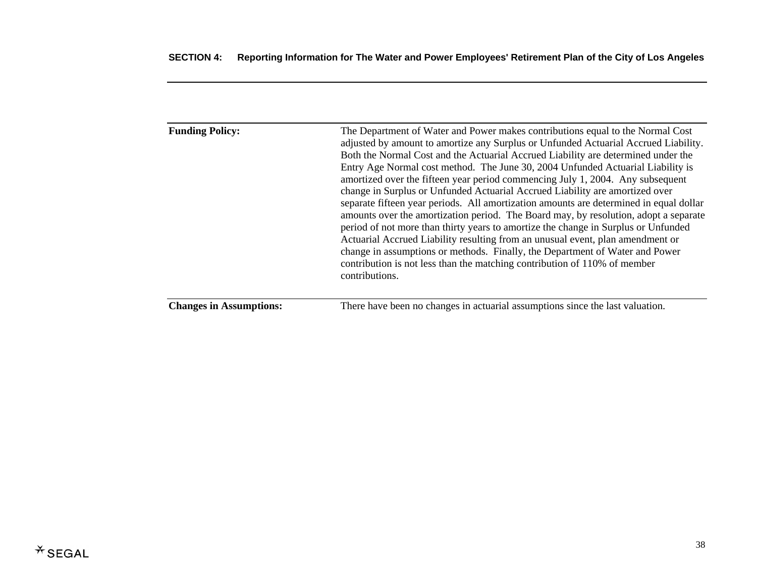| <b>Funding Policy:</b>         | The Department of Water and Power makes contributions equal to the Normal Cost<br>adjusted by amount to amortize any Surplus or Unfunded Actuarial Accrued Liability.<br>Both the Normal Cost and the Actuarial Accrued Liability are determined under the<br>Entry Age Normal cost method. The June 30, 2004 Unfunded Actuarial Liability is<br>amortized over the fifteen year period commencing July 1, 2004. Any subsequent<br>change in Surplus or Unfunded Actuarial Accrued Liability are amortized over<br>separate fifteen year periods. All amortization amounts are determined in equal dollar<br>amounts over the amortization period. The Board may, by resolution, adopt a separate<br>period of not more than thirty years to amortize the change in Surplus or Unfunded<br>Actuarial Accrued Liability resulting from an unusual event, plan amendment or<br>change in assumptions or methods. Finally, the Department of Water and Power<br>contribution is not less than the matching contribution of 110% of member<br>contributions. |
|--------------------------------|----------------------------------------------------------------------------------------------------------------------------------------------------------------------------------------------------------------------------------------------------------------------------------------------------------------------------------------------------------------------------------------------------------------------------------------------------------------------------------------------------------------------------------------------------------------------------------------------------------------------------------------------------------------------------------------------------------------------------------------------------------------------------------------------------------------------------------------------------------------------------------------------------------------------------------------------------------------------------------------------------------------------------------------------------------|
| <b>Changes in Assumptions:</b> | There have been no changes in actuarial assumptions since the last valuation.                                                                                                                                                                                                                                                                                                                                                                                                                                                                                                                                                                                                                                                                                                                                                                                                                                                                                                                                                                            |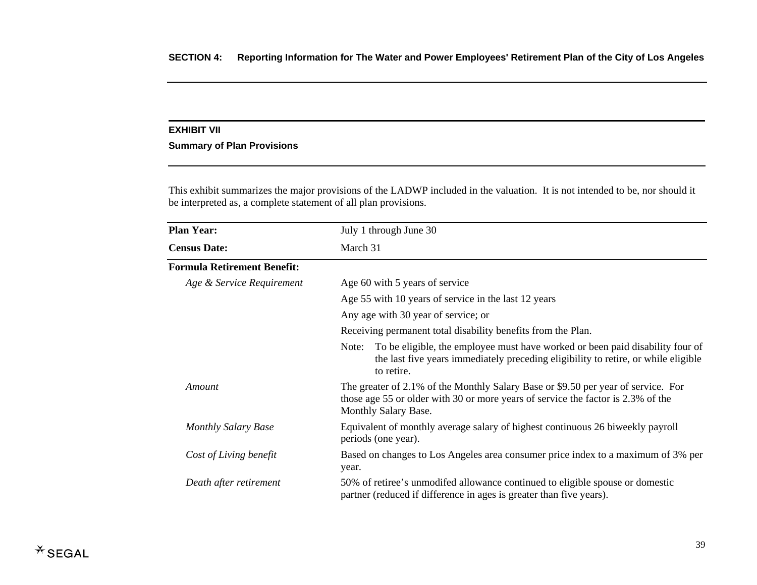#### **EXHIBIT VII**

## **Summary of Plan Provisions**

This exhibit summarizes the major provisions of the LADWP included in the valuation. It is not intended to be, nor should it be interpreted as, a complete statement of all plan provisions.

| <b>Plan Year:</b>                  | July 1 through June 30                                                                                                                                                                        |  |
|------------------------------------|-----------------------------------------------------------------------------------------------------------------------------------------------------------------------------------------------|--|
| <b>Census Date:</b>                | March 31                                                                                                                                                                                      |  |
| <b>Formula Retirement Benefit:</b> |                                                                                                                                                                                               |  |
| Age & Service Requirement          | Age 60 with 5 years of service                                                                                                                                                                |  |
|                                    | Age 55 with 10 years of service in the last 12 years                                                                                                                                          |  |
|                                    | Any age with 30 year of service; or                                                                                                                                                           |  |
|                                    | Receiving permanent total disability benefits from the Plan.                                                                                                                                  |  |
|                                    | To be eligible, the employee must have worked or been paid disability four of<br>Note:<br>the last five years immediately preceding eligibility to retire, or while eligible<br>to retire.    |  |
| Amount                             | The greater of 2.1% of the Monthly Salary Base or \$9.50 per year of service. For<br>those age 55 or older with 30 or more years of service the factor is 2.3% of the<br>Monthly Salary Base. |  |
| <b>Monthly Salary Base</b>         | Equivalent of monthly average salary of highest continuous 26 biweekly payroll<br>periods (one year).                                                                                         |  |
| Cost of Living benefit             | Based on changes to Los Angeles area consumer price index to a maximum of 3% per<br>year.                                                                                                     |  |
| Death after retirement             | 50% of retiree's unmodifed allowance continued to eligible spouse or domestic<br>partner (reduced if difference in ages is greater than five years).                                          |  |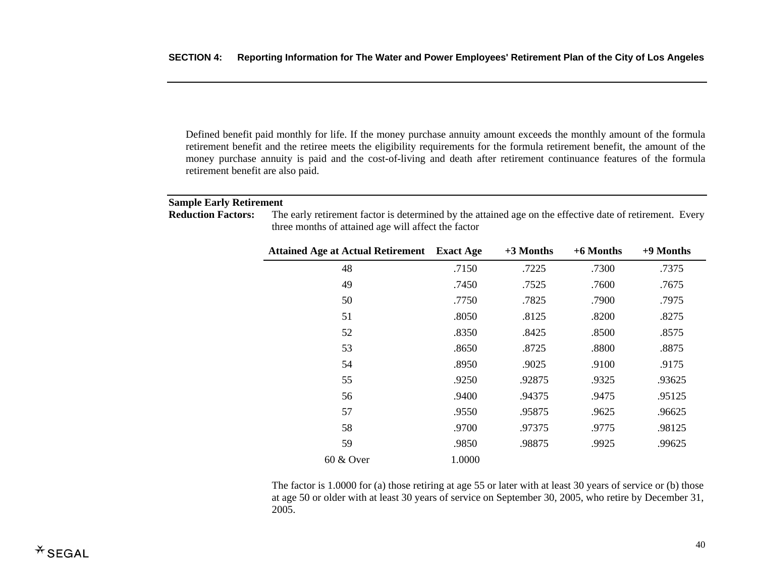Defined benefit paid monthly for life. If the money purchase annuity amount exceeds the monthly amount of the formula retirement benefit and the retiree meets the eligibility requirements for the formula retirement benefit, the amount of the money purchase annuity is paid and the cost-of-living and death after retirement continuance features of the formula retirement benefit are also paid.

## **Sample Early Retirement**

| <b>Reduction Factors:</b> | The early retirement factor is determined by the attained age on the effective date of retirement. Every |  |
|---------------------------|----------------------------------------------------------------------------------------------------------|--|
|                           | three months of attained age will affect the factor                                                      |  |

| <b>Attained Age at Actual Retirement</b> Exact Age |        | $+3$ Months | $+6$ Months | +9 Months |
|----------------------------------------------------|--------|-------------|-------------|-----------|
| 48                                                 | .7150  | .7225       | .7300       | .7375     |
| 49                                                 | .7450  | .7525       | .7600       | .7675     |
| 50                                                 | .7750  | .7825       | .7900       | .7975     |
| 51                                                 | .8050  | .8125       | .8200       | .8275     |
| 52                                                 | .8350  | .8425       | .8500       | .8575     |
| 53                                                 | .8650  | .8725       | .8800       | .8875     |
| 54                                                 | .8950  | .9025       | .9100       | .9175     |
| 55                                                 | .9250  | .92875      | .9325       | .93625    |
| 56                                                 | .9400  | .94375      | .9475       | .95125    |
| 57                                                 | .9550  | .95875      | .9625       | .96625    |
| 58                                                 | .9700  | .97375      | .9775       | .98125    |
| 59                                                 | .9850  | .98875      | .9925       | .99625    |
| $60 \& Qver$                                       | 1.0000 |             |             |           |

The factor is 1.0000 for (a) those retiring at age 55 or later with at least 30 years of service or (b) those at age 50 or older with at least 30 years of service on September 30, 2005, who retire by December 31, 2005.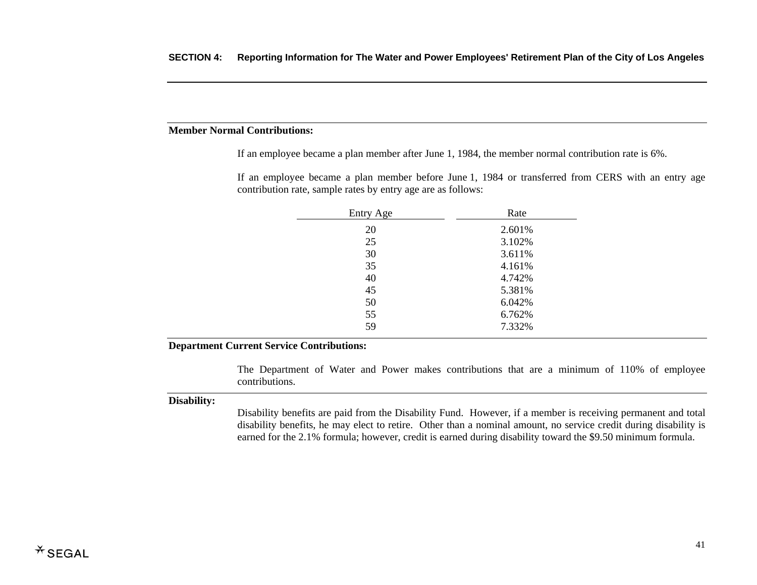## **Member Normal Contributions:**

If an employee became a plan member after June 1, 1984, the member normal contribution rate is 6%.

If an employee became a plan member before June 1, 1984 or transferred from CERS with an entry age contribution rate, sample rates by entry age are as follows:

| Entry Age | Rate   |
|-----------|--------|
| 20        | 2.601% |
| 25        | 3.102% |
| 30        | 3.611% |
| 35        | 4.161% |
| 40        | 4.742% |
| 45        | 5.381% |
| 50        | 6.042% |
| 55        | 6.762% |
| 59        | 7.332% |
|           |        |

#### **Department Current Service Contributions:**

The Department of Water and Power makes contributions that are a minimum of 110% of employee contributions.

#### **Disability:**

Disability benefits are paid from the Disability Fund. However, if a member is receiving permanent and total disability benefits, he may elect to retire. Other than a nominal amount, no service credit during disability is earned for the 2.1% formula; however, credit is earned during disability toward the \$9.50 minimum formula.